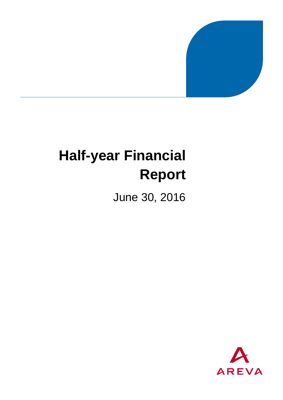

# **Half-year Financial Report**

June 30, 2016

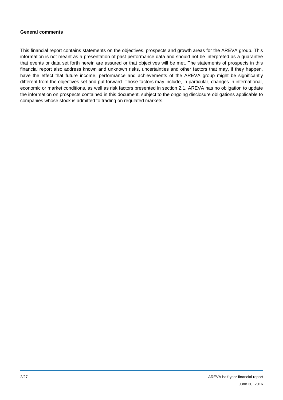#### **General comments**

This financial report contains statements on the objectives, prospects and growth areas for the AREVA group. This information is not meant as a presentation of past performance data and should not be interpreted as a guarantee that events or data set forth herein are assured or that objectives will be met. The statements of prospects in this financial report also address known and unknown risks, uncertainties and other factors that may, if they happen, have the effect that future income, performance and achievements of the AREVA group might be significantly different from the objectives set and put forward. Those factors may include, in particular, changes in international, economic or market conditions, as well as risk factors presented in section 2.1. AREVA has no obligation to update the information on prospects contained in this document, subject to the ongoing disclosure obligations applicable to companies whose stock is admitted to trading on regulated markets.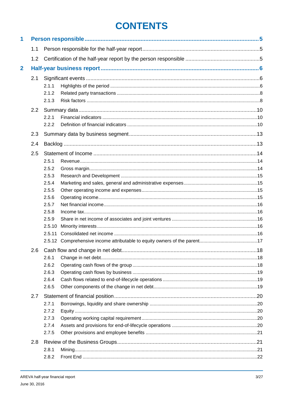# **CONTENTS**

| 1                       |     |                         |  |  |  |
|-------------------------|-----|-------------------------|--|--|--|
|                         | 1.1 |                         |  |  |  |
|                         | 1.2 |                         |  |  |  |
| $\overline{\mathbf{2}}$ |     |                         |  |  |  |
|                         | 2.1 | 2.1.1<br>2.1.2<br>2.1.3 |  |  |  |
|                         | 2.2 |                         |  |  |  |
|                         |     | 2.2.1<br>2.2.2          |  |  |  |
|                         | 2.3 |                         |  |  |  |
|                         | 2.4 |                         |  |  |  |
|                         | 2.5 | 2.5.1                   |  |  |  |
|                         |     | 2.5.2                   |  |  |  |
|                         |     | 2.5.3                   |  |  |  |
|                         |     | 2.5.4                   |  |  |  |
|                         |     | 2.5.5                   |  |  |  |
|                         |     | 2.5.6<br>2.5.7          |  |  |  |
|                         |     | 2.5.8                   |  |  |  |
|                         |     | 2.5.9                   |  |  |  |
|                         |     | 2.5.10                  |  |  |  |
|                         |     | 2.5.11                  |  |  |  |
|                         |     |                         |  |  |  |
|                         | 2.6 |                         |  |  |  |
|                         |     | 2.6.1                   |  |  |  |
|                         |     | 2.6.2                   |  |  |  |
|                         |     | 2.6.3                   |  |  |  |
|                         |     | 2.6.4                   |  |  |  |
|                         |     | 2.6.5                   |  |  |  |
|                         | 2.7 |                         |  |  |  |
|                         |     | 2.7.1                   |  |  |  |
|                         |     | 2.7.2                   |  |  |  |
|                         |     | 2.7.3                   |  |  |  |
|                         |     | 2.7.4                   |  |  |  |
|                         |     | 2.7.5                   |  |  |  |
|                         | 2.8 |                         |  |  |  |
|                         |     | 2.8.1                   |  |  |  |
|                         |     | 2.8.2                   |  |  |  |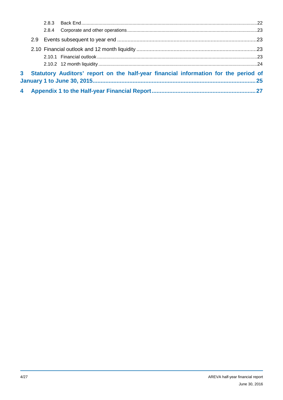|  | 3 Statutory Auditors' report on the half-year financial information for the period of |  |
|--|---------------------------------------------------------------------------------------|--|
|  |                                                                                       |  |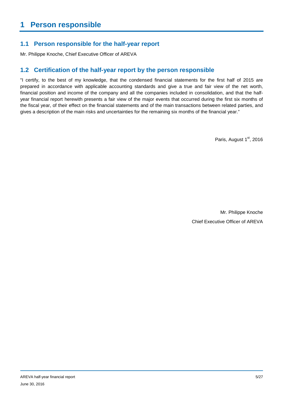# **1.1 Person responsible for the half-year report**

Mr. Philippe Knoche, Chief Executive Officer of AREVA

# **1.2 Certification of the half-year report by the person responsible**

"I certify, to the best of my knowledge, that the condensed financial statements for the first half of 2015 are prepared in accordance with applicable accounting standards and give a true and fair view of the net worth, financial position and income of the company and all the companies included in consolidation, and that the halfyear financial report herewith presents a fair view of the major events that occurred during the first six months of the fiscal year, of their effect on the financial statements and of the main transactions between related parties, and gives a description of the main risks and uncertainties for the remaining six months of the financial year."

Paris, August 1st, 2016

Mr. Philippe Knoche Chief Executive Officer of AREVA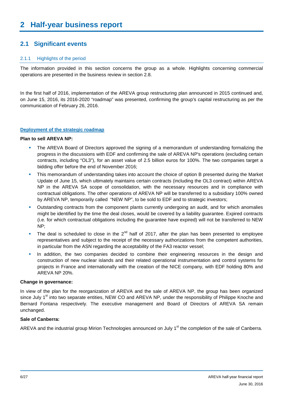# **2 Half-year business report**

# **2.1 Significant events**

#### 2.1.1 Highlights of the period

The information provided in this section concerns the group as a whole. Highlights concerning commercial operations are presented in the business review in section 2.8.

In the first half of 2016, implementation of the AREVA group restructuring plan announced in 2015 continued and, on June 15, 2016, its 2016-2020 "roadmap" was presented, confirming the group's capital restructuring as per the communication of February 26, 2016.

#### **Deployment of the strategic roadmap**

#### **Plan to sell AREVA NP:**

- The AREVA Board of Directors approved the signing of a memorandum of understanding formalizing the progress in the discussions with EDF and confirming the sale of AREVA NP's operations (excluding certain contracts, including "OL3"), for an asset value of 2.5 billion euros for 100%. The two companies target a bidding offer before the end of November 2016;
- This memorandum of understanding takes into account the choice of option B presented during the Market Update of June 15, which ultimately maintains certain contracts (including the OL3 contract) within AREVA NP in the AREVA SA scope of consolidation, with the necessary resources and in compliance with contractual obligations. The other operations of AREVA NP will be transferred to a subsidiary 100% owned by AREVA NP, temporarily called "NEW NP", to be sold to EDF and to strategic investors;
- Outstanding contracts from the component plants currently undergoing an audit, and for which anomalies might be identified by the time the deal closes, would be covered by a liability guarantee. Expired contracts (i.e. for which contractual obligations including the guarantee have expired) will not be transferred to NEW NP;
- The deal is scheduled to close in the  $2^{nd}$  half of 2017, after the plan has been presented to employee representatives and subject to the receipt of the necessary authorizations from the competent authorities, in particular from the ASN regarding the acceptability of the FA3 reactor vessel;
- **In addition, the two companies decided to combine their engineering resources in the design and** construction of new nuclear islands and their related operational instrumentation and control systems for projects in France and internationally with the creation of the NICE company, with EDF holding 80% and AREVA NP 20%.

#### **Change in governance:**

In view of the plan for the reorganization of AREVA and the sale of AREVA NP, the group has been organized since July 1<sup>st</sup> into two separate entities, NEW CO and AREVA NP, under the responsibility of Philippe Knoche and Bernard Fontana respectively. The executive management and Board of Directors of AREVA SA remain unchanged.

#### **Sale of Canberra:**

AREVA and the industrial group Mirion Technologies announced on July 1<sup>st</sup> the completion of the sale of Canberra.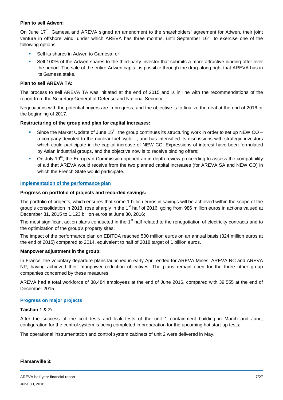#### **Plan to sell Adwen:**

On June 17<sup>th</sup>, Gamesa and AREVA signed an amendment to the shareholders' agreement for Adwen, their joint venture in offshore wind, under which AREVA has three months, until September 16<sup>th</sup>, to exercise one of the following options:

- Sell its shares in Adwen to Gamesa, or
- Sell 100% of the Adwen shares to the third-party investor that submits a more attractive binding offer over the period. The sale of the entire Adwen capital is possible through the drag-along right that AREVA has in its Gamesa stake.

#### **Plan to sell AREVA TA:**

The process to sell AREVA TA was initiated at the end of 2015 and is in line with the recommendations of the report from the Secretary General of Defense and National Security.

Negotiations with the potential buyers are in progress, and the objective is to finalize the deal at the end of 2016 or the beginning of 2017.

#### **Restructuring of the group and plan for capital increases:**

- Since the Market Update of June 15<sup>th</sup>, the group continues its structuring work in order to set up NEW CO a company devoted to the nuclear fuel cycle –, and has intensified its discussions with strategic investors which could participate in the capital increase of NEW CO. Expressions of interest have been formulated by Asian industrial groups, and the objective now is to receive binding offers;
- On July 19<sup>th</sup>, the European Commission opened an in-depth review proceeding to assess the compatibility of aid that AREVA would receive from the two planned capital increases (for AREVA SA and NEW CO) in which the French State would participate.

#### **Implementation of the performance plan**

#### **Progress on portfolio of projects and recorded savings:**

The portfolio of projects, which ensures that some 1 billion euros in savings will be achieved within the scope of the group's consolidation in 2018, rose sharply in the 1<sup>st</sup> half of 2016, going from 986 million euros in actions valued at December 31, 2015 to 1.123 billion euros at June 30, 2016;

The most significant action plans conducted in the 1<sup>st</sup> half related to the renegotiation of electricity contracts and to the optimization of the group's property sites;

The impact of the performance plan on EBITDA reached 500 million euros on an annual basis (324 million euros at the end of 2015) compared to 2014, equivalent to half of 2018 target of 1 billion euros.

#### **Manpower adjustment in the group:**

In France, the voluntary departure plans launched in early April ended for AREVA Mines, AREVA NC and AREVA NP, having achieved their manpower reduction objectives. The plans remain open for the three other group companies concerned by these measures;

AREVA had a total workforce of 38,484 employees at the end of June 2016, compared with 39,555 at the end of December 2015.

#### **Progress on major projects**

#### **Taishan 1 & 2:**

After the success of the cold tests and leak tests of the unit 1 containment building in March and June, configuration for the control system is being completed in preparation for the upcoming hot start-up tests;

The operational instrumentation and control system cabinets of unit 2 were delivered in May.

#### **Flamanville 3:**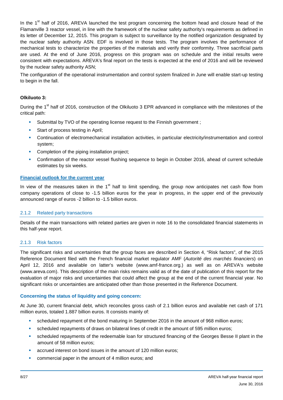In the  $1<sup>st</sup>$  half of 2016, AREVA launched the test program concerning the bottom head and closure head of the Flamanville 3 reactor vessel, in line with the framework of the nuclear safety authority's requirements as defined in its letter of December 12, 2015. This program is subject to surveillance by the notified organization designated by the nuclear safety authority ASN. EDF is involved in those tests. The program involves the performance of mechanical tests to characterize the properties of the materials and verify their conformity. Three sacrificial parts are used. At the end of June 2016, progress on this program was on schedule and the initial results were consistent with expectations. AREVA's final report on the tests is expected at the end of 2016 and will be reviewed by the nuclear safety authority ASN;

The configuration of the operational instrumentation and control system finalized in June will enable start-up testing to begin in the fall.

#### **Olkiluoto 3:**

During the 1<sup>st</sup> half of 2016, construction of the Olkiluoto 3 EPR advanced in compliance with the milestones of the critical path:

- Submittal by TVO of the operating license request to the Finnish government ;
- **Start of process testing in April;**
- Continuation of electromechanical installation activities, in particular electricity/instrumentation and control system;
- **Completion of the piping installation project;**
- Confirmation of the reactor vessel flushing sequence to begin in October 2016, ahead of current schedule estimates by six weeks.

#### **Financial outlook for the current year**

In view of the measures taken in the  $1<sup>st</sup>$  half to limit spending, the group now anticipates net cash flow from company operations of close to -1.5 billion euros for the year in progress, in the upper end of the previously announced range of euros -2 billion to -1.5 billion euros.

#### 2.1.2 Related party transactions

Details of the main transactions with related parties are given in note 16 to the consolidated financial statements in this half-year report.

#### 2.1.3 Risk factors

The significant risks and uncertainties that the group faces are described in Section 4, "Risk factors", of the 2015 Reference Document filed with the French financial market regulator AMF (Autorité des marchés financiers) on April 12, 2016 and available on latter's website (www.amf-france.org.) as well as on AREVA's website (www.areva.com). This description of the main risks remains valid as of the date of publication of this report for the evaluation of major risks and uncertainties that could affect the group at the end of the current financial year. No significant risks or uncertainties are anticipated other than those presented in the Reference Document.

#### **Concerning the status of liquidity and going concern:**

At June 30, current financial debt, which reconciles gross cash of 2.1 billion euros and available net cash of 171 million euros, totaled 1.887 billion euros. It consists mainly of:

- scheduled repayment of the bond maturing in September 2016 in the amount of 968 million euros;
- scheduled repayments of draws on bilateral lines of credit in the amount of 595 million euros;
- scheduled repayments of the redeemable loan for structured financing of the Georges Besse II plant in the amount of 58 million euros;
- **accrued interest on bond issues in the amount of 120 million euros:**
- **EXECOMMERCIAL PROPER IN THE AMOULT COMMERCIAL PROPERTY COMMERCIAL EXAMPLE A** commercial paper in the amount of 4 million euros; and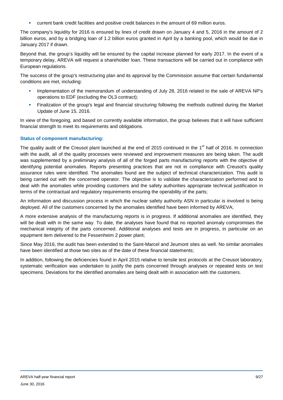current bank credit facilities and positive credit balances in the amount of 69 million euros.

The company's liquidity for 2016 is ensured by lines of credit drawn on January 4 and 5, 2016 in the amount of 2 billion euros, and by a bridging loan of 1.2 billion euros granted in April by a banking pool, which would be due in January 2017 if drawn.

Beyond that, the group's liquidity will be ensured by the capital increase planned for early 2017. In the event of a temporary delay, AREVA will request a shareholder loan. These transactions will be carried out in compliance with European regulations.

The success of the group's restructuring plan and its approval by the Commission assume that certain fundamental conditions are met, including:

- Implementation of the memorandum of understanding of July 28, 2016 related to the sale of AREVA NP's operations to EDF (excluding the OL3 contract);
- Finalization of the group's legal and financial structuring following the methods outlined during the Market Update of June 15, 2016.

In view of the foregoing, and based on currently available information, the group believes that it will have sufficient financial strength to meet its requirements and obligations.

#### **Status of component manufacturing:**

The quality audit of the Creusot plant launched at the end of 2015 continued in the 1<sup>st</sup> half of 2016. In connection with the audit, all of the quality processes were reviewed and improvement measures are being taken. The audit was supplemented by a preliminary analysis of all of the forged parts manufacturing reports with the objective of identifying potential anomalies. Reports presenting practices that are not in compliance with Creusot's quality assurance rules were identified. The anomalies found are the subject of technical characterization. This audit is being carried out with the concerned operator. The objective is to validate the characterization performed and to deal with the anomalies while providing customers and the safety authorities appropriate technical justification in terms of the contractual and regulatory requirements ensuring the operability of the parts;

An information and discussion process in which the nuclear safety authority ASN in particular is involved is being deployed. All of the customers concerned by the anomalies identified have been informed by AREVA;

A more extensive analysis of the manufacturing reports is in progress. If additional anomalies are identified, they will be dealt with in the same way. To date, the analyses have found that no reported anomaly compromises the mechanical integrity of the parts concerned. Additional analyses and tests are in progress, in particular on an equipment item delivered to the Fessenheim 2 power plant;

Since May 2016, the audit has been extended to the Saint-Marcel and Jeumont sites as well. No similar anomalies have been identified at those two sites as of the date of these financial statements;

In addition, following the deficiencies found in April 2015 relative to tensile test protocols at the Creusot laboratory, systematic verification was undertaken to justify the parts concerned through analyses or repeated tests on test specimens. Deviations for the identified anomalies are being dealt with in association with the customers.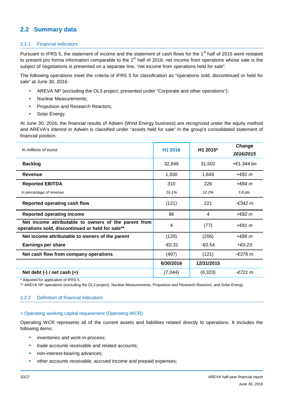# **2.2 Summary data**

#### 2.2.1 Financial indicators

Pursuant to IFRS 5, the statement of income and the statement of cash flows for the 1<sup>st</sup> half of 2015 were restated to present pro forma information comparable to the 1<sup>st</sup> half of 2016; net income from operations whose sale is the subject of negotiations is presented on a separate line, "net income from operations held for sale".

The following operations meet the criteria of IFRS 5 for classification as "operations sold, discontinued or held for sale" at June 30, 2016:

- AREVA NP (excluding the OL3 project, presented under "Corporate and other operations");
- Nuclear Measurements;
- **Propulsion and Research Reactors;**
- **Solar Energy.**

At June 30, 2016, the financial results of Adwen (Wind Energy business) are recognized under the equity method and AREVA's interest in Adwen is classified under "assets held for sale" in the group's consolidated statement of financial position.

| In millions of euros                                                                                     | H1 2016   | H1 2015*   | Change<br>2016/2015 |
|----------------------------------------------------------------------------------------------------------|-----------|------------|---------------------|
| <b>Backlog</b>                                                                                           | 32,846    | 31,502     | +€ 1.344 hn         |
| <b>Revenue</b>                                                                                           | 1,930     | 1,849      | $+681 m$            |
| <b>Reported EBITDA</b>                                                                                   | 310       | 226        | +€84 m              |
| In percentage of revenue                                                                                 | 16.1%     | 12.2%      | 3.8 pts.            |
| Reported operating cash flow                                                                             | (121)     | 221        | $-6342 m$           |
| <b>Reported operating income</b>                                                                         | 86        | 4          | $+ \epsilon$ 82 m   |
| Net income attributable to owners of the parent from<br>operations sold, discontinued or held for sale** | 4         | (77)       | $+ \epsilon$ 81 m   |
| Net income attributable to owners of the parent                                                          | (120)     | (206)      | $+ \epsilon$ 86 m   |
| <b>Earnings per share</b>                                                                                | -€0.31    | -€0.54     | $+ \epsilon$ 0.23   |
| Net cash flow from company operations                                                                    | (497)     | (121)      | $-6376m$            |
|                                                                                                          | 6/30/2016 | 12/31/2015 |                     |
| Net debt $(-)$ / net cash $(+)$                                                                          | (7,044)   | (6,323)    | $-6721 m$           |

\* Adjusted for application of IFRS 5

\*\* AREVA NP operations (excluding the OL3 project), Nuclear Measurements, Propulsion and Research Reactors, and Solar Energy

#### 2.2.2 Definition of financial indicators

#### > Operating working capital requirement (Operating WCR)

Operating WCR represents all of the current assets and liabilities related directly to operations. It includes the following items:

- inventories and work-in-process;
- trade accounts receivable and related accounts;
- non-interest-bearing advances;
- other accounts receivable, accrued income and prepaid expenses;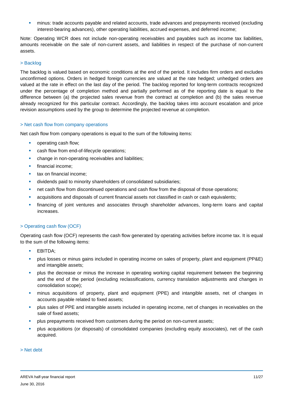minus: trade accounts payable and related accounts, trade advances and prepayments received (excluding interest-bearing advances), other operating liabilities, accrued expenses, and deferred income;

Note: Operating WCR does not include non-operating receivables and payables such as income tax liabilities, amounts receivable on the sale of non-current assets, and liabilities in respect of the purchase of non-current assets.

#### > Backlog

The backlog is valued based on economic conditions at the end of the period. It includes firm orders and excludes unconfirmed options. Orders in hedged foreign currencies are valued at the rate hedged; unhedged orders are valued at the rate in effect on the last day of the period. The backlog reported for long-term contracts recognized under the percentage of completion method and partially performed as of the reporting date is equal to the difference between (a) the projected sales revenue from the contract at completion and (b) the sales revenue already recognized for this particular contract. Accordingly, the backlog takes into account escalation and price revision assumptions used by the group to determine the projected revenue at completion.

#### > Net cash flow from company operations

Net cash flow from company operations is equal to the sum of the following items:

- operating cash flow;
- cash flow from end-of-lifecycle operations;
- change in non-operating receivables and liabilities;
- **financial income:**
- tax on financial income;
- dividends paid to minority shareholders of consolidated subsidiaries;
- net cash flow from discontinued operations and cash flow from the disposal of those operations:
- acquisitions and disposals of current financial assets not classified in cash or cash equivalents;
- financing of joint ventures and associates through shareholder advances, long-term loans and capital increases.

#### > Operating cash flow (OCF)

Operating cash flow (OCF) represents the cash flow generated by operating activities before income tax. It is equal to the sum of the following items:

- EBITDA;
- plus losses or minus gains included in operating income on sales of property, plant and equipment (PP&E) and intangible assets;
- plus the decrease or minus the increase in operating working capital requirement between the beginning and the end of the period (excluding reclassifications, currency translation adjustments and changes in consolidation scope);
- minus acquisitions of property, plant and equipment (PPE) and intangible assets, net of changes in accounts payable related to fixed assets;
- **•** plus sales of PPE and intangible assets included in operating income, net of changes in receivables on the sale of fixed assets;
- **P** plus prepayments received from customers during the period on non-current assets;
- plus acquisitions (or disposals) of consolidated companies (excluding equity associates), net of the cash acquired.

#### > Net debt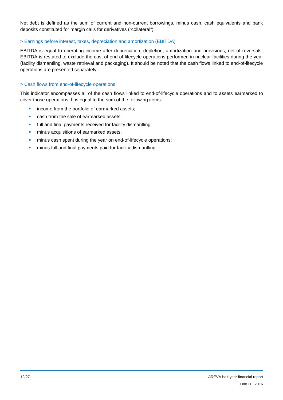Net debt is defined as the sum of current and non-current borrowings, minus cash, cash equivalents and bank deposits constituted for margin calls for derivatives ("collateral").

#### > Earnings before interest, taxes, depreciation and amortization (EBITDA)

EBITDA is equal to operating income after depreciation, depletion, amortization and provisions, net of reversals. EBITDA is restated to exclude the cost of end-of-lifecycle operations performed in nuclear facilities during the year (facility dismantling, waste retrieval and packaging). It should be noted that the cash flows linked to end-of-lifecycle operations are presented separately.

#### > Cash flows from end-of-lifecycle operations

This indicator encompasses all of the cash flows linked to end-of-lifecycle operations and to assets earmarked to cover those operations. It is equal to the sum of the following items:

- **i** income from the portfolio of earmarked assets;
- cash from the sale of earmarked assets;
- **full and final payments received for facility dismantling;**
- **numinus acquisitions of earmarked assets;**
- **numinus cash spent during the year on end-of-lifecycle operations;**
- **n** minus full and final payments paid for facility dismantling.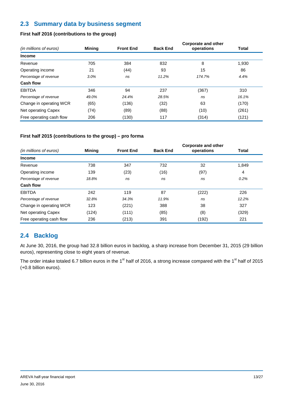# **2.3 Summary data by business segment**

|                          |        |                  |                 | <b>Corporate and other</b> |              |
|--------------------------|--------|------------------|-----------------|----------------------------|--------------|
| (in millions of euros)   | Mining | <b>Front End</b> | <b>Back End</b> | operations                 | <b>Total</b> |
| <b>Income</b>            |        |                  |                 |                            |              |
| Revenue                  | 705    | 384              | 832             | 8                          | 1,930        |
| Operating income         | 21     | (44)             | 93              | 15                         | 86           |
| Percentage of revenue    | 3.0%   | ns               | 11.2%           | 174.7%                     | 4.4%         |
| Cash flow                |        |                  |                 |                            |              |
| <b>EBITDA</b>            | 346    | 94               | 237             | (367)                      | 310          |
| Percentage of revenue    | 49.0%  | 24.4%            | 28.5%           | ns                         | 16.1%        |
| Change in operating WCR  | (65)   | (136)            | (32)            | 63                         | (170)        |
| Net operating Capex      | (74)   | (89)             | (88)            | (10)                       | (261)        |
| Free operating cash flow | 206    | (130)            | 117             | (314)                      | (121)        |

### **First half 2016 (contributions to the group)**

#### **First half 2015 (contributions to the group) – pro forma**

|                          |               |                  |                 | <b>Corporate and other</b> |              |
|--------------------------|---------------|------------------|-----------------|----------------------------|--------------|
| (in millions of euros)   | <b>Mining</b> | <b>Front End</b> | <b>Back End</b> | operations                 | <b>Total</b> |
| <b>Income</b>            |               |                  |                 |                            |              |
| Revenue                  | 738           | 347              | 732             | 32                         | 1,849        |
| Operating income         | 139           | (23)             | (16)            | (97)                       | 4            |
| Percentage of revenue    | 18.8%         | ns               | ns              | ns                         | 0.2%         |
| Cash flow                |               |                  |                 |                            |              |
| <b>EBITDA</b>            | 242           | 119              | 87              | (222)                      | 226          |
| Percentage of revenue    | 32.8%         | 34.3%            | 11.9%           | ns                         | 12.2%        |
| Change in operating WCR  | 123           | (221)            | 388             | 38                         | 327          |
| Net operating Capex      | (124)         | (111)            | (85)            | (8)                        | (329)        |
| Free operating cash flow | 236           | (213)            | 391             | (192)                      | 221          |

# **2.4 Backlog**

At June 30, 2016, the group had 32.8 billion euros in backlog, a sharp increase from December 31, 2015 (29 billion euros), representing close to eight years of revenue.

The order intake totaled 6.7 billion euros in the 1<sup>st</sup> half of 2016, a strong increase compared with the 1<sup>st</sup> half of 2015 (+0.8 billion euros).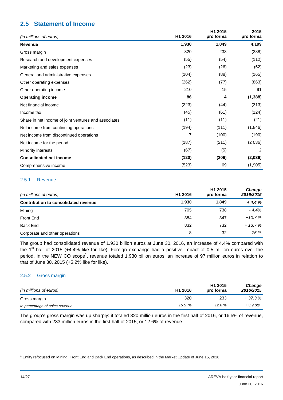# **2.5 Statement of Income**

| (in millions of euros)                               | H1 2016 | H <sub>1</sub> 2015<br>pro forma | 2015<br>pro forma |
|------------------------------------------------------|---------|----------------------------------|-------------------|
| <b>Revenue</b>                                       | 1,930   | 1,849                            | 4,199             |
| Gross margin                                         | 320     | 233                              | (288)             |
| Research and development expenses                    | (55)    | (54)                             | (112)             |
| Marketing and sales expenses                         | (23)    | (26)                             | (52)              |
| General and administrative expenses                  | (104)   | (88)                             | (165)             |
| Other operating expenses                             | (262)   | (77)                             | (863)             |
| Other operating income                               | 210     | 15                               | 91                |
| <b>Operating income</b>                              | 86      | 4                                | (1, 388)          |
| Net financial income                                 | (223)   | (44)                             | (313)             |
| Income tax                                           | (45)    | (61)                             | (124)             |
| Share in net income of joint ventures and associates | (11)    | (11)                             | (21)              |
| Net income from continuing operations                | (194)   | (111)                            | (1,846)           |
| Net income from discontinued operations              | 7       | (100)                            | (190)             |
| Net income for the period                            | (187)   | (211)                            | (2036)            |
| Minority interests                                   | (67)    | (5)                              | 2                 |
| <b>Consolidated net income</b>                       | (120)   | (206)                            | (2,036)           |
| Comprehensive income                                 | (523)   | 69                               | (1,905)           |

#### 2.5.1 Revenue

| (in millions of euros)               | H1 2016 | H <sub>1</sub> 2015<br>pro forma | <b>Change</b><br>2016/2015 |
|--------------------------------------|---------|----------------------------------|----------------------------|
| Contribution to consolidated revenue | 1,930   | 1.849                            | $+4,4%$                    |
| Mining                               | 705     | 738                              | - 4.4%                     |
| Front End                            | 384     | 347                              | $+10.7%$                   |
| Back End                             | 832     | 732                              | $+13.7%$                   |
| Corporate and other operations       | 8       | 32                               | - 75 %                     |

The group had consolidated revenue of 1.930 billion euros at June 30, 2016, an increase of 4.4% compared with the  $1^{st}$  half of 2015 (+4.4% like for like). Foreign exchange had a positive impact of 0.5 million euros over the period. In the NEW CO scope<sup>1</sup>, revenue totaled 1.930 billion euros, an increase of 97 million euros in relation to that of June 30, 2015 (+5.2% like for like).

#### 2.5.2 Gross margin

| (in millions of euros)         | H <sub>1</sub> 2016 | H <sub>1</sub> 2015<br>pro forma | <b>Change</b><br>2016/2015 |
|--------------------------------|---------------------|----------------------------------|----------------------------|
| Gross margin                   | 320                 | 233                              | $+37.3%$                   |
| In percentage of sales revenue | 16.5 %              | 12.6 %                           | $+3.9$ pts                 |

The group's gross margin was up sharply: it totaled 320 million euros in the first half of 2016, or 16.5% of revenue, compared with 233 million euros in the first half of 2015, or 12.6% of revenue.

 1 Entity refocused on Mining, Front End and Back End operations, as described in the Market Update of June 15, 2016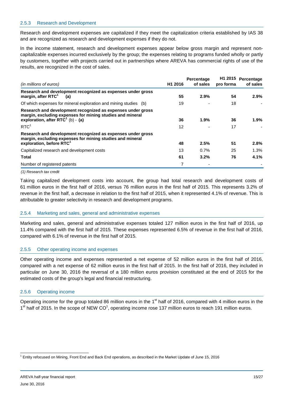#### 2.5.3 Research and Development

Research and development expenses are capitalized if they meet the capitalization criteria established by IAS 38 and are recognized as research and development expenses if they do not.

In the income statement, research and development expenses appear below gross margin and represent noncapitalizable expenses incurred exclusively by the group; the expenses relating to programs funded wholly or partly by customers, together with projects carried out in partnerships where AREVA has commercial rights of use of the results, are recognized in the cost of sales.

| (in millions of euros)                                                                                                                                           | H <sub>1</sub> 2016 | Percentage<br>of sales | pro forma | H1 2015 Percentage<br>of sales |
|------------------------------------------------------------------------------------------------------------------------------------------------------------------|---------------------|------------------------|-----------|--------------------------------|
| Research and development recognized as expenses under gross<br>margin, after RTC <sup>1</sup><br>(a)                                                             | 55                  | 2.9%                   | 54        | $2.9\%$                        |
| Of which expenses for mineral exploration and mining studies (b)                                                                                                 | 19                  |                        | 18        |                                |
| Research and development recognized as expenses under gross<br>margin, excluding expenses for mining studies and mineral<br>exploration, after $RTC^1$ (b) - (a) | 36                  | 1.9%                   | 36        | $1.9\%$                        |
| RTC <sup>1</sup>                                                                                                                                                 | 12                  |                        | 17        |                                |
| Research and development recognized as expenses under gross<br>margin, excluding expenses for mining studies and mineral<br>exploration, before RTC <sup>1</sup> | 48                  | 2.5%                   | 51        | 2.8%                           |
| Capitalized research and development costs                                                                                                                       | 13                  | 0.7%                   | 25        | $1.3\%$                        |
| Total                                                                                                                                                            | 61                  | 3.2%                   | 76        | 4.1%                           |
| Number of registered patents                                                                                                                                     | 7                   |                        |           |                                |

(1) Research tax credit

Taking capitalized development costs into account, the group had total research and development costs of 61 million euros in the first half of 2016, versus 76 million euros in the first half of 2015. This represents 3.2% of revenue in the first half, a decrease in relation to the first half of 2015, when it represented 4.1% of revenue. This is attributable to greater selectivity in research and development programs.

#### 2.5.4 Marketing and sales, general and administrative expenses

Marketing and sales, general and administrative expenses totaled 127 million euros in the first half of 2016, up 11.4% compared with the first half of 2015. These expenses represented 6.5% of revenue in the first half of 2016, compared with 6.1% of revenue in the first half of 2015.

#### 2.5.5 Other operating income and expenses

Other operating income and expenses represented a net expense of 52 million euros in the first half of 2016, compared with a net expense of 62 million euros in the first half of 2015. In the first half of 2016, they included in particular on June 30, 2016 the reversal of a 180 million euros provision constituted at the end of 2015 for the estimated costs of the group's legal and financial restructuring.

#### 2.5.6 Operating income

Operating income for the group totaled 86 million euros in the 1<sup>st</sup> half of 2016, compared with 4 million euros in the 1<sup>st</sup> half of 2015. In the scope of NEW CO<sup>1</sup>, operating income rose 137 million euros to reach 191 million euros.

l <sup>1</sup> Entity refocused on Mining, Front End and Back End operations, as described in the Market Update of June 15, 2016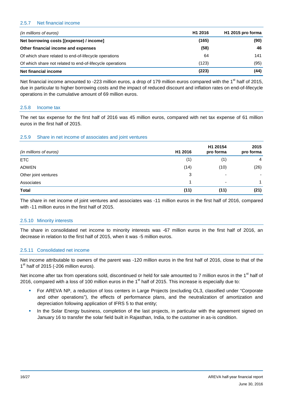#### 2.5.7 Net financial income

| (in millions of euros)                                    | H <sub>1</sub> 2016 | H <sub>1</sub> 2015 pro forma |
|-----------------------------------------------------------|---------------------|-------------------------------|
| Net borrowing costs [(expense) / income]                  | (165)               | (90)                          |
| Other financial income and expenses                       | (58)                | 46                            |
| Of which share related to end-of-lifecycle operations     | 64                  | 141                           |
| Of which share not related to end-of-lifecycle operations | (123)               | (95)                          |
| Net financial income                                      | (223)               | (44)                          |

Net financial income amounted to -223 million euros, a drop of 179 million euros compared with the 1<sup>st</sup> half of 2015, due in particular to higher borrowing costs and the impact of reduced discount and inflation rates on end-of-lifecycle operations in the cumulative amount of 69 million euros.

#### 2.5.8 Income tax

The net tax expense for the first half of 2016 was 45 million euros, compared with net tax expense of 61 million euros in the first half of 2015.

#### 2.5.9 Share in net income of associates and joint ventures

| (in millions of euros) | H1 2016 | H1 20154<br>pro forma    | 2015<br>pro forma |
|------------------------|---------|--------------------------|-------------------|
| <b>ETC</b>             | (1)     | (1)                      | 4                 |
| <b>ADWEN</b>           | (14)    | (10)                     | (26)              |
| Other joint ventures   | 3       | $\overline{\phantom{0}}$ |                   |
| Associates             |         | $\overline{\phantom{0}}$ |                   |
| <b>Total</b>           | (11)    | (11)                     | (21)              |

The share in net income of joint ventures and associates was -11 million euros in the first half of 2016, compared with -11 million euros in the first half of 2015.

#### 2.5.10 Minority interests

The share in consolidated net income to minority interests was -67 million euros in the first half of 2016, an decrease in relation to the first half of 2015, when it was -5 million euros.

#### 2.5.11 Consolidated net income

Net income attributable to owners of the parent was -120 million euros in the first half of 2016, close to that of the 1<sup>st</sup> half of 2015 (-206 million euros).

Net income after tax from operations sold, discontinued or held for sale amounted to 7 million euros in the 1<sup>st</sup> half of 2016, compared with a loss of 100 million euros in the 1<sup>st</sup> half of 2015. This increase is especially due to:

- For AREVA NP, a reduction of loss centers in Large Projects (excluding OL3, classified under "Corporate and other operations"), the effects of performance plans, and the neutralization of amortization and depreciation following application of IFRS 5 to that entity;
- In the Solar Energy business, completion of the last projects, in particular with the agreement signed on January 16 to transfer the solar field built in Rajasthan, India, to the customer in as-is condition.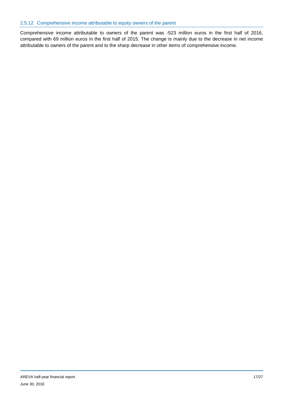Comprehensive income attributable to owners of the parent was -523 million euros in the first half of 2016, compared with 69 million euros in the first half of 2015. The change is mainly due to the decrease in net income attributable to owners of the parent and to the sharp decrease in other items of comprehensive income.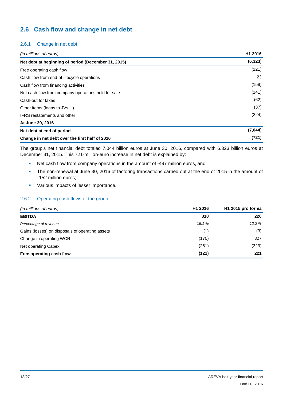# **2.6 Cash flow and change in net debt**

#### 2.6.1 Change in net debt

| (in millions of euros)                              | H <sub>1</sub> 2016 |
|-----------------------------------------------------|---------------------|
| Net debt at beginning of period (December 31, 2015) | (6, 323)            |
| Free operating cash flow                            | (121)               |
| Cash flow from end-of-lifecycle operations          | 23                  |
| Cash flow from financing activities                 | (159)               |
| Net cash flow from company operations held for sale | (141)               |
| Cash-out for taxes                                  | (62)                |
| Other items (loans to JVs)                          | (37)                |
| <b>IFRS</b> restatements and other                  | (224)               |
| At June 30, 2016                                    |                     |
| Net debt at end of period                           | (7,044)             |
| Change in net debt over the first half of 2016      | (721)               |

The group's net financial debt totaled 7.044 billion euros at June 30, 2016, compared with 6.323 billion euros at December 31, 2015. This 721-million-euro increase in net debt is explained by:

- Net cash flow from company operations in the amount of -497 million euros, and:
- The non-renewal at June 30, 2016 of factoring transactions carried out at the end of 2015 in the amount of -152 million euros;
- **Various impacts of lesser importance.**

#### 2.6.2 Operating cash flows of the group

| (in millions of euros)                          | H <sub>1</sub> 2016 | H <sub>1</sub> 2015 pro forma |
|-------------------------------------------------|---------------------|-------------------------------|
| <b>EBITDA</b>                                   | 310                 | 226                           |
| Percentage of revenue                           | 16.1%               | 12.2%                         |
| Gains (losses) on disposals of operating assets | (1)                 | (3)                           |
| Change in operating WCR                         | (170)               | 327                           |
| Net operating Capex                             | (261)               | (329)                         |
| Free operating cash flow                        | (121)               | 221                           |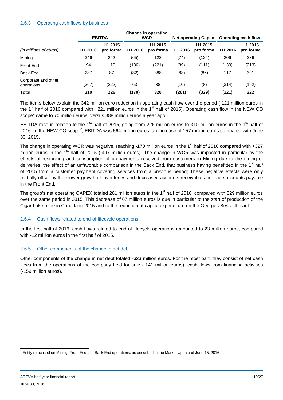#### 2.6.3 Operating cash flows by business

|                                   |                     | <b>EBITDA</b>                    |                     | Change in operating<br><b>WCR</b> |         | <b>Net operating Capex</b>       |                     | Operating cash flow              |
|-----------------------------------|---------------------|----------------------------------|---------------------|-----------------------------------|---------|----------------------------------|---------------------|----------------------------------|
| (in millions of euros)            | H <sub>1</sub> 2016 | H <sub>1</sub> 2015<br>pro forma | H <sub>1</sub> 2016 | H <sub>1</sub> 2015<br>pro forma  | H1 2016 | H <sub>1</sub> 2015<br>pro forma | H <sub>1</sub> 2016 | H <sub>1</sub> 2015<br>pro forma |
| Mining                            | 346                 | 242                              | (65)                | 123                               | (74)    | (124)                            | 206                 | 236                              |
| Front End                         | 94                  | 119                              | (136)               | (221)                             | (89)    | (111)                            | (130)               | (213)                            |
| Back End                          | 237                 | 87                               | (32)                | 388                               | (88)    | (86)                             | 117                 | 391                              |
| Corporate and other<br>operations | (367)               | (222)                            | 63                  | 38                                | (10)    | (8)                              | (314)               | (192)                            |
| Total                             | 310                 | 226                              | (170)               | 328                               | (261)   | (329)                            | (121)               | 222                              |

The items below explain the 342 million euro reduction in operating cash flow over the period (-121 million euros in the 1<sup>st</sup> half of 2016 compared with +221 million euros in the 1<sup>st</sup> half of 2015). Operating cash flow in the NEW CO  $\mathsf{scope}^1$  came to 70 million euros, versus 388 million euros a year ago.

EBITDA rose in relation to the 1<sup>st</sup> half of 2015, going from 226 million euros to 310 million euros in the 1<sup>st</sup> half of 2016. In the NEW CO scope<sup>2</sup>, EBITDA was 564 million euros, an increase of 157 million euros compared with June 30, 2015.

The change in operating WCR was negative, reaching -170 million euros in the 1<sup>st</sup> half of 2016 compared with  $+327$ million euros in the  $1<sup>st</sup>$  half of 2015 (-497 million euros). The change in WCR was impacted in particular by the effects of restocking and consumption of prepayments received from customers in Mining due to the timing of deliveries; the effect of an unfavorable comparison in the Back End, that business having benefitted in the 1<sup>st</sup> half of 2015 from a customer payment covering services from a previous period; These negative effects were only partially offset by the slower growth of inventories and decreased accounts receivable and trade accounts payable in the Front End.

The group's net operating CAPEX totaled 261 million euros in the 1<sup>st</sup> half of 2016, compared with 329 million euros over the same period in 2015. This decrease of 67 million euros is due in particular to the start of production of the Cigar Lake mine in Canada in 2015 and to the reduction of capital expenditure on the Georges Besse II plant.

#### 2.6.4 Cash flows related to end-of-lifecycle operations

In the first half of 2016, cash flows related to end-of-lifecycle operations amounted to 23 million euros, compared with -12 million euros in the first half of 2015.

#### 2.6.5 Other components of the change in net debt

Other components of the change in net debt totaled -623 million euros. For the most part, they consist of net cash flows from the operations of the company held for sale (-141 million euros), cash flows from financing activities (-159 million euros).

 1 Entity refocused on Mining, Front End and Back End operations, as described in the Market Update of June 15, 2016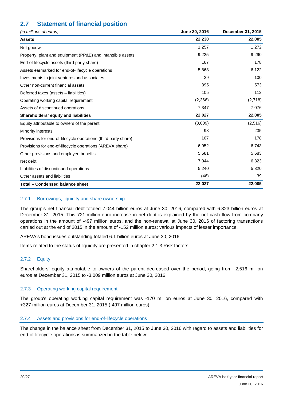# **2.7 Statement of financial position**

| (in millions of euros)                                         | June 30, 2016 | December 31, 2015 |
|----------------------------------------------------------------|---------------|-------------------|
| <b>Assets</b>                                                  | 22,230        | 22,005            |
| Net goodwill                                                   | 1,257         | 1,272             |
| Property, plant and equipment (PP&E) and intangible assets     | 9,225         | 9,290             |
| End-of-lifecycle assets (third party share)                    | 167           | 178               |
| Assets earmarked for end-of-lifecycle operations               | 5,868         | 6,122             |
| Investments in joint ventures and associates                   | 29            | 100               |
| Other non-current financial assets                             | 395           | 573               |
| Deferred taxes (assets - liabilities)                          | 105           | 112               |
| Operating working capital requirement                          | (2,366)       | (2,718)           |
| Assets of discontinued operations                              | 7,347         | 7,076             |
| Shareholders' equity and liabilities                           | 22,027        | 22,005            |
| Equity attributable to owners of the parent                    | (3,009)       | (2,516)           |
| Minority interests                                             | 98            | 235               |
| Provisions for end-of-lifecycle operations (third party share) | 167           | 178               |
| Provisions for end-of-lifecycle operations (AREVA share)       | 6,952         | 6,743             |
| Other provisions and employee benefits                         | 5,581         | 5,683             |
| Net debt                                                       | 7,044         | 6,323             |
| Liabilities of discontinued operations                         | 5,240         | 5,320             |
| Other assets and liabilities                                   | (46)          | 39                |
| Total – Condensed balance sheet                                | 22,027        | 22,005            |

#### 2.7.1 Borrowings, liquidity and share ownership

The group's net financial debt totaled 7.044 billion euros at June 30, 2016, compared with 6.323 billion euros at December 31, 2015. This 721-million-euro increase in net debt is explained by the net cash flow from company operations in the amount of -497 million euros, and the non-renewal at June 30, 2016 of factoring transactions carried out at the end of 2015 in the amount of -152 million euros; various impacts of lesser importance.

AREVA's bond issues outstanding totaled 6.1 billion euros at June 30, 2016.

Items related to the status of liquidity are presented in chapter 2.1.3 Risk factors.

#### 2.7.2 Equity

Shareholders' equity attributable to owners of the parent decreased over the period, going from -2,516 million euros at December 31, 2015 to -3.009 million euros at June 30, 2016.

#### 2.7.3 Operating working capital requirement

The group's operating working capital requirement was -170 million euros at June 30, 2016, compared with +327 million euros at December 31, 2015 (-497 million euros).

#### 2.7.4 Assets and provisions for end-of-lifecycle operations

The change in the balance sheet from December 31, 2015 to June 30, 2016 with regard to assets and liabilities for end-of-lifecycle operations is summarized in the table below: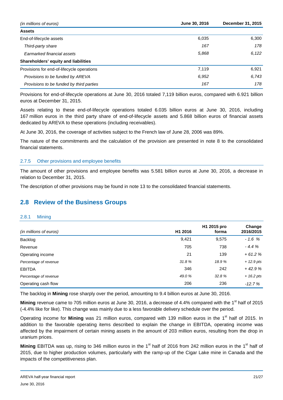| (in millions of euros)                     | June 30, 2016 | December 31, 2015 |
|--------------------------------------------|---------------|-------------------|
| <b>Assets</b>                              |               |                   |
| End-of-lifecycle assets                    | 6,035         | 6,300             |
| Third-party share                          | 167           | 178               |
| Earmarked financial assets                 | 5,868         | 6.122             |
| Shareholders' equity and liabilities       |               |                   |
| Provisions for end-of-lifecycle operations | 7,119         | 6,921             |
| Provisions to be funded by AREVA           | 6.952         | 6,743             |
| Provisions to be funded by third parties   | 167           | 178               |

Provisions for end-of-lifecycle operations at June 30, 2016 totaled 7,119 billion euros, compared with 6.921 billion euros at December 31, 2015.

Assets relating to these end-of-lifecycle operations totaled 6.035 billion euros at June 30, 2016, including 167 million euros in the third party share of end-of-lifecycle assets and 5.868 billion euros of financial assets dedicated by AREVA to these operations (including receivables).

At June 30, 2016, the coverage of activities subject to the French law of June 28, 2006 was 89%.

The nature of the commitments and the calculation of the provision are presented in note 8 to the consolidated financial statements.

#### 2.7.5 Other provisions and employee benefits

The amount of other provisions and employee benefits was 5.581 billion euros at June 30, 2016, a decrease in relation to December 31, 2015.

The description of other provisions may be found in note 13 to the consolidated financial statements.

# **2.8 Review of the Business Groups**

#### 2.8.1 Mining

| (in millions of euros) | H <sub>1</sub> 2016 | H1 2015 pro<br>forma | Change<br>2016/2015 |
|------------------------|---------------------|----------------------|---------------------|
| Backlog                | 9,421               | 9,575                | $-1.6%$             |
| Revenue                | 705                 | 738                  | $-4.4%$             |
| Operating income       | 21                  | 139                  | $+61.2%$            |
| Percentage of revenue  | 31.8%               | 18.9%                | $+ 12.9$ pts        |
| <b>EBITDA</b>          | 346                 | 242                  | $+42.9%$            |
| Percentage of revenue  | 49.0%               | 32.8%                | $+ 16.2$ pts        |
| Operating cash flow    | 206                 | 236                  | $-12.7%$            |

The backlog in **Mining** rose sharply over the period, amounting to 9.4 billion euros at June 30, 2016.

Mining revenue came to 705 million euros at June 30, 2016, a decrease of 4.4% compared with the 1<sup>st</sup> half of 2015 (-4.4% like for like). This change was mainly due to a less favorable delivery schedule over the period.

Operating income for Mining was 21 million euros, compared with 139 million euros in the 1<sup>st</sup> half of 2015. In addition to the favorable operating items described to explain the change in EBITDA, operating income was affected by the impairment of certain mining assets in the amount of 203 million euros, resulting from the drop in uranium prices.

Mining EBITDA was up, rising to 346 million euros in the 1<sup>st</sup> half of 2016 from 242 million euros in the 1<sup>st</sup> half of 2015, due to higher production volumes, particularly with the ramp-up of the Cigar Lake mine in Canada and the impacts of the competitiveness plan.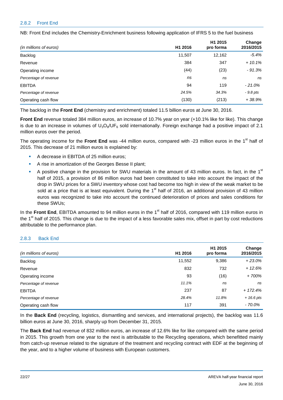#### 2.8.2 Front End

NB: Front End includes the Chemistry-Enrichment business following application of IFRS 5 to the fuel business

| (in millions of euros) | H1 2016 | H <sub>1</sub> 2015<br>pro forma | Change<br>2016/2015 |
|------------------------|---------|----------------------------------|---------------------|
| Backlog                | 11,507  | 12,162                           | $-5.4\%$            |
| Revenue                | 384     | 347                              | $+10.1%$            |
| Operating income       | (44)    | (23)                             | $-91.3%$            |
| Percentage of revenue  | ns      | ns                               | ns                  |
| <b>EBITDA</b>          | 94      | 119                              | $-21.0%$            |
| Percentage of revenue  | 24.5%   | 34.3%                            | - 9.8 pts           |
| Operating cash flow    | (130)   | (213)                            | $+38.9%$            |

The backlog in the **Front End** (chemistry and enrichment) totaled 11.5 billion euros at June 30, 2016.

**Front End** revenue totaled 384 million euros, an increase of 10.7% year on year (+10.1% like for like). This change is due to an increase in volumes of  $U_3O_8/UF_6$  sold internationally. Foreign exchange had a positive impact of 2.1 million euros over the period.

The operating income for the Front End was -44 million euros, compared with -23 million euros in the 1<sup>st</sup> half of 2015. This decrease of 21 million euros is explained by:

- A decrease in EBITDA of 25 million euros;
- A rise in amortization of the Georges Besse II plant;
- A positive change in the provision for SWU materials in the amount of 43 million euros. In fact, in the  $1<sup>st</sup>$ half of 2015, a provision of 86 million euros had been constituted to take into account the impact of the drop in SWU prices for a SWU inventory whose cost had become too high in view of the weak market to be sold at a price that is at least equivalent. During the  $1<sup>st</sup>$  half of 2016, an additional provision of 43 million euros was recognized to take into account the continued deterioration of prices and sales conditions for these SWUs;

In the Front End, EBITDA amounted to 94 million euros in the 1<sup>st</sup> half of 2016, compared with 119 million euros in the  $1<sup>st</sup>$  half of 2015. This change is due to the impact of a less favorable sales mix, offset in part by cost reductions attributable to the performance plan.

#### 2.8.3 Back End

| (in millions of euros) | H1 2016 | H <sub>1</sub> 2015<br>pro forma | Change<br>2016/2015   |
|------------------------|---------|----------------------------------|-----------------------|
| Backlog                | 11,552  | 9,386                            | $+23.0%$              |
| Revenue                | 832     | 732                              | $+12.6%$              |
| Operating income       | 93      | (16)                             | +700%                 |
| Percentage of revenue  | 11.1%   | ns                               | ns                    |
| <b>EBITDA</b>          | 237     | 87                               | $+172.4%$             |
| Percentage of revenue  | 28.4%   | 11.8%                            | $+ 16.6 \,\text{pts}$ |
| Operating cash flow    | 117     | 391                              | - 70.0%               |

In the **Back End** (recycling, logistics, dismantling and services, and international projects), the backlog was 11.6 billion euros at June 30, 2016, sharply up from December 31, 2015.

The **Back End** had revenue of 832 million euros, an increase of 12.6% like for like compared with the same period in 2015. This growth from one year to the next is attributable to the Recycling operations, which benefitted mainly from catch-up revenue related to the signature of the treatment and recycling contract with EDF at the beginning of the year, and to a higher volume of business with European customers.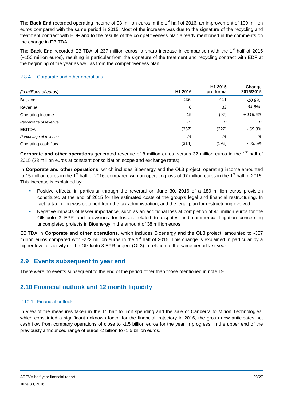The **Back End** recorded operating income of 93 million euros in the 1<sup>st</sup> half of 2016, an improvement of 109 million euros compared with the same period in 2015. Most of the increase was due to the signature of the recycling and treatment contract with EDF and to the results of the competitiveness plan already mentioned in the comments on the change in EBITDA.

The Back End recorded EBITDA of 237 million euros, a sharp increase in comparison with the 1<sup>st</sup> half of 2015 (+150 million euros), resulting in particular from the signature of the treatment and recycling contract with EDF at the beginning of the year as well as from the competitiveness plan.

|                        |                     | H1 2015   | Change    |
|------------------------|---------------------|-----------|-----------|
| (in millions of euros) | H <sub>1</sub> 2016 | pro forma | 2016/2015 |
| Backlog                | 366                 | 411       | $-10.9%$  |
| Revenue                | 8                   | 32        | $-64.8%$  |
| Operating income       | 15                  | (97)      | $+115.5%$ |
| Percentage of revenue  | ns                  | ns        | ns        |
| <b>EBITDA</b>          | (367)               | (222)     | $-65.3%$  |
| Percentage of revenue  | ns                  | ns        | ns        |
| Operating cash flow    | (314)               | (192)     | $-63.5\%$ |

#### 2.8.4 Corporate and other operations

**Corporate and other operations** generated revenue of 8 million euros, versus 32 million euros in the 1<sup>st</sup> half of 2015 (23 million euros at constant consolidation scope and exchange rates).

In **Corporate and other operations**, which includes Bioenergy and the OL3 project, operating income amounted to 15 million euros in the 1<sup>st</sup> half of 2016, compared with an operating loss of 97 million euros in the 1<sup>st</sup> half of 2015. This increase is explained by:

- Positive effects, in particular through the reversal on June 30, 2016 of a 180 million euros provision constituted at the end of 2015 for the estimated costs of the group's legal and financial restructuring. In fact, a tax ruling was obtained from the tax administration, and the legal plan for restructuring evolved;
- Negative impacts of lesser importance, such as an additional loss at completion of 41 million euros for the Olkiluoto 3 EPR and provisions for losses related to disputes and commercial litigation concerning uncompleted projects in Bioenergy in the amount of 38 million euros.

EBITDA in **Corporate and other operations**, which includes Bioenergy and the OL3 project, amounted to -367 million euros compared with -222 million euros in the 1<sup>st</sup> half of 2015. This change is explained in particular by a higher level of activity on the Olkiluoto 3 EPR project (OL3) in relation to the same period last year.

# **2.9 Events subsequent to year end**

There were no events subsequent to the end of the period other than those mentioned in note 19.

# **2.10 Financial outlook and 12 month liquidity**

#### 2.10.1 Financial outlook

In view of the measures taken in the 1<sup>st</sup> half to limit spending and the sale of Canberra to Mirion Technologies, which constituted a significant unknown factor for the financial trajectory in 2016, the group now anticipates net cash flow from company operations of close to -1.5 billion euros for the year in progress, in the upper end of the previously announced range of euros -2 billion to -1.5 billion euros.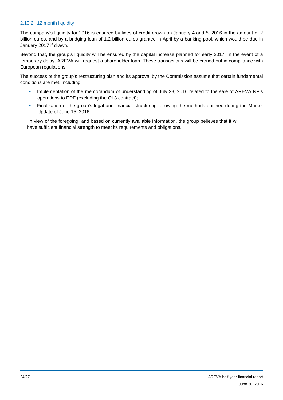The company's liquidity for 2016 is ensured by lines of credit drawn on January 4 and 5, 2016 in the amount of 2 billion euros, and by a bridging loan of 1.2 billion euros granted in April by a banking pool, which would be due in January 2017 if drawn.

Beyond that, the group's liquidity will be ensured by the capital increase planned for early 2017. In the event of a temporary delay, AREVA will request a shareholder loan. These transactions will be carried out in compliance with European regulations.

The success of the group's restructuring plan and its approval by the Commission assume that certain fundamental conditions are met, including:

- Implementation of the memorandum of understanding of July 28, 2016 related to the sale of AREVA NP's operations to EDF (excluding the OL3 contract);
- Finalization of the group's legal and financial structuring following the methods outlined during the Market Update of June 15, 2016.

 In view of the foregoing, and based on currently available information, the group believes that it will have sufficient financial strength to meet its requirements and obligations.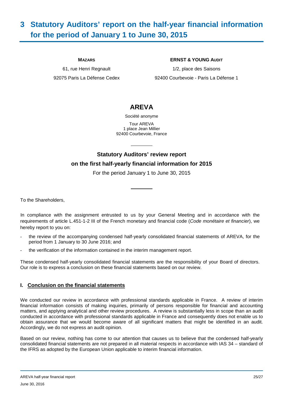# **3 Statutory Auditors' report on the half-year financial information for the period of January 1 to June 30, 2015**

#### **MAZARS**

61, rue Henri Regnault 92075 Paris La Défense Cedex

#### **ERNST & YOUNG AUDIT**

1/2, place des Saisons 92400 Courbevoie - Paris La Défense 1

# **AREVA**

Société anonyme

Tour AREVA 1 place Jean Millier 92400 Courbevoie, France

# **Statutory Auditors' review report on the first half-yearly financial information for 2015**

For the period January 1 to June 30, 2015

To the Shareholders,

In compliance with the assignment entrusted to us by your General Meeting and in accordance with the requirements of article L.451-1-2 III of the French monetary and financial code (Code monétaire et financier), we hereby report to you on:

- the review of the accompanying condensed half-yearly consolidated financial statements of AREVA, for the period from 1 January to 30 June 2016; and
- the verification of the information contained in the interim management report.

These condensed half-yearly consolidated financial statements are the responsibility of your Board of directors. Our role is to express a conclusion on these financial statements based on our review.

### **I. Conclusion on the financial statements**

We conducted our review in accordance with professional standards applicable in France. A review of interim financial information consists of making inquiries, primarily of persons responsible for financial and accounting matters, and applying analytical and other review procedures. A review is substantially less in scope than an audit conducted in accordance with professional standards applicable in France and consequently does not enable us to obtain assurance that we would become aware of all significant matters that might be identified in an audit. Accordingly, we do not express an audit opinion.

Based on our review, nothing has come to our attention that causes us to believe that the condensed half-yearly consolidated financial statements are not prepared in all material respects in accordance with IAS 34 – standard of the IFRS as adopted by the European Union applicable to interim financial information.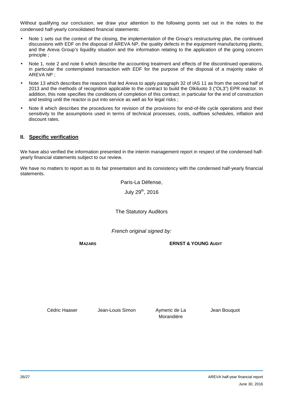Without qualifying our conclusion, we draw your attention to the following points set out in the notes to the condensed half-yearly consolidated financial statements:

- Note 1 sets out the context of the closing, the implementation of the Group's restructuring plan, the continued discussions with EDF on the disposal of AREVA NP, the quality defects in the equipment manufacturing plants, and the Areva Group's liquidity situation and the information relating to the application of the going concern principle ;
- Note 1, note 2 and note 6 which describe the accounting treatment and effects of the discontinued operations, in particular the contemplated transaction with EDF for the purpose of the disposal of a majority stake of AREVA NP ;
- Note 13 which describes the reasons that led Areva to apply paragraph 32 of IAS 11 as from the second half of 2013 and the methods of recognition applicable to the contract to build the Olkiluoto 3 ("OL3") EPR reactor. In addition, this note specifies the conditions of completion of this contract, in particular for the end of construction and testing until the reactor is put into service as well as for legal risks ;
- Note 8 which describes the procedures for revision of the provisions for end-of-life cycle operations and their sensitivity to the assumptions used in terms of technical processes, costs, outflows schedules, inflation and discount rates.

#### **II. Specific verification**

We have also verified the information presented in the interim management report in respect of the condensed halfyearly financial statements subject to our review.

We have no matters to report as to its fair presentation and its consistency with the condensed half-yearly financial statements.

> Paris-La Défense, July 29<sup>th</sup>, 2016

The Statutory Auditors

French original signed by:

**MAZARS**

**ERNST & YOUNG AUDIT**

Cédric Haaser Jean-Louis Simon

Aymeric de La Morandière

Jean Bouquot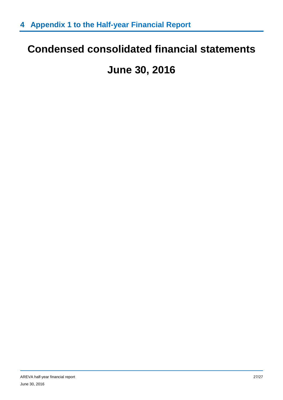# **Condensed consolidated financial statements**

# **June 30, 2016**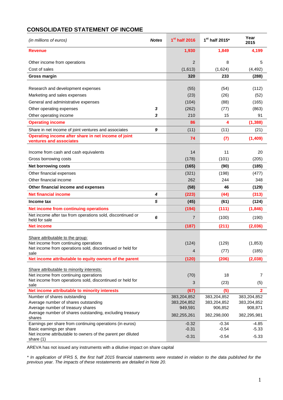# **CONSOLIDATED STATEMENT OF INCOME**

| (in millions of euros)                                                         | <b>Notes</b>     | $1st$ half 2016 | 1st half 2015* | Year<br>2015 |
|--------------------------------------------------------------------------------|------------------|-----------------|----------------|--------------|
| <b>Revenue</b>                                                                 |                  | 1,930           | 1,849          | 4,199        |
| Other income from operations                                                   |                  | $\overline{2}$  | 8              | 5            |
| Cost of sales                                                                  |                  | (1,613)         | (1,624)        | (4, 492)     |
| <b>Gross margin</b>                                                            |                  | 320             | 233            | (288)        |
|                                                                                |                  |                 |                |              |
| Research and development expenses                                              |                  | (55)            | (54)           | (112)        |
| Marketing and sales expenses                                                   |                  | (23)            | (26)           | (52)         |
| General and administrative expenses                                            |                  | (104)           | (88)           | (165)        |
| Other operating expenses                                                       | 3                | (262)           | (77)           | (863)        |
| Other operating income                                                         | 3                | 210             | 15             | 91           |
| <b>Operating income</b>                                                        |                  | 86              | 4              | (1, 388)     |
| Share in net income of joint ventures and associates                           | $\boldsymbol{9}$ | (11)            | (11)           | (21)         |
| Operating income after share in net income of joint<br>ventures and associates |                  | 74              | (7)            | (1,409)      |
| Income from cash and cash equivalents                                          |                  | 14              | 11             | 20           |
| Gross borrowing costs                                                          |                  | (178)           | (101)          | (205)        |
| <b>Net borrowing costs</b>                                                     |                  | (165)           | (90)           | (185)        |
| Other financial expenses                                                       |                  | (321)           | (198)          | (477)        |
| Other financial income                                                         |                  | 262             | 244            | 348          |
| Other financial income and expenses                                            |                  | (58)            | 46             | (129)        |
| <b>Net financial income</b>                                                    | 4                | (223)           | (44)           | (313)        |
| Income tax                                                                     | 5                | (45)            | (61)           | (124)        |
| Net income from continuing operations                                          |                  | (194)           | (111)          | (1, 846)     |
| Net income after tax from operations sold, discontinued or<br>held for sale    | 6                | 7               | (100)          | (190)        |
| <b>Net income</b>                                                              |                  | (187)           | (211)          | (2,036)      |
|                                                                                |                  |                 |                |              |
| Share attributable to the group:<br>Net income from continuing operations      |                  | (124)           | (129)          | (1,853)      |
| Net income from operations sold, discontinued or held for                      |                  | 4               |                |              |
| sale                                                                           |                  |                 | (77)           | (185)        |
| Net income attributable to equity owners of the parent                         |                  | (120)           | (206)          | (2,038)      |
| Share attributable to minority interests:                                      |                  |                 |                |              |
| Net income from continuing operations                                          |                  | (70)            | 18             | 7            |
| Net income from operations sold, discontinued or held for                      |                  | 3               | (23)           | (5)          |
| sale<br>Net income attributable to minority interests                          |                  | (67)            | (5)            | $\mathbf{2}$ |
| Number of shares outstanding                                                   |                  | 383,204,852     | 383,204,852    | 383,204,852  |
| Average number of shares outstanding                                           |                  | 383,204,852     | 383,204,852    | 383,204,852  |
| Average number of treasury shares                                              |                  | 949,591         | 906,852        | 908,871      |
| Average number of shares outstanding, excluding treasury<br>shares             |                  | 382,255,261     | 382,298,000    | 382,295,981  |
| Earnings per share from continuing operations (in euros)                       |                  | $-0.32$         | $-0.34$        | $-4.85$      |
| Basic earnings per share                                                       |                  | $-0.31$         | $-0.54$        | $-5.33$      |
| Net income attributable to owners of the parent per diluted<br>share $(1)$     |                  | $-0.31$         | $-0.54$        | $-5.33$      |

AREVA has not issued any instruments with a dilutive impact on share capital

\* In application of IFRS 5, the first half 2015 financial statements were restated in relation to the data published for the previous year. The impacts of these restatements are detailed in Note 20.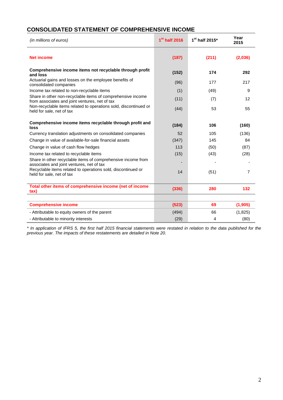# **CONSOLIDATED STATEMENT OF COMPREHENSIVE INCOME**

| (in millions of euros)                                                                                        | $1st$ half 2016 | $1st$ half 2015* | Year<br>2015 |
|---------------------------------------------------------------------------------------------------------------|-----------------|------------------|--------------|
| <b>Net income</b>                                                                                             | (187)           | (211)            | (2,036)      |
| Comprehensive income items not recyclable through profit<br>and loss                                          | (152)           | 174              | 292          |
| Actuarial gains and losses on the employee benefits of<br>consolidated companies                              | (96)            | 177              | 217          |
| Income tax related to non-recyclable items                                                                    | (1)             | (49)             | 9            |
| Share in other non-recyclable items of comprehensive income<br>from associates and joint ventures, net of tax | (11)            | (7)              | 12           |
| Non-recyclable items related to operations sold, discontinued or<br>held for sale, net of tax                 | (44)            | 53               | 55           |
| Comprehensive income items recyclable through profit and<br>loss                                              | (184)           | 106              | (160)        |
| Currency translation adjustments on consolidated companies                                                    | 52              | 105              | (136)        |
| Change in value of available-for-sale financial assets                                                        | (347)           | 145              | 84           |
| Change in value of cash flow hedges                                                                           | 113             | (50)             | (87)         |
| Income tax related to recyclable items                                                                        | (15)            | (43)             | (28)         |
| Share in other recyclable items of comprehensive income from<br>associates and joint ventures, net of tax     |                 |                  |              |
| Recyclable items related to operations sold, discontinued or<br>held for sale, net of tax                     | 14              | (51)             | 7            |
| Total other items of comprehensive income (net of income<br>tax)                                              | (336)           | 280              | 132          |
|                                                                                                               |                 |                  |              |
| <b>Comprehensive income</b>                                                                                   | (523)           | 69               | (1, 905)     |
| - Attributable to equity owners of the parent                                                                 | (494)           | 66               | (1,825)      |
| - Attributable to minority interests                                                                          | (29)            | 4                | (80)         |

\* In application of IFRS 5, the first half 2015 financial statements were restated in relation to the data published for the previous year. The impacts of these restatements are detailed in Note 20.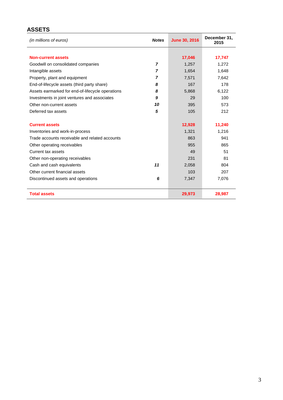# **ASSETS**

| (in millions of euros)                           | <b>Notes</b> | <b>June 30, 2016</b> | December 31,<br>2015 |
|--------------------------------------------------|--------------|----------------------|----------------------|
| <b>Non-current assets</b>                        |              | 17,046               | 17,747               |
| Goodwill on consolidated companies               | 7            | 1,257                | 1,272                |
| Intangible assets                                | 7            | 1,654                | 1,648                |
| Property, plant and equipment                    | 7            | 7,571                | 7,642                |
| End-of-lifecycle assets (third party share)      | 8            | 167                  | 178                  |
| Assets earmarked for end-of-lifecycle operations | 8            | 5,868                | 6,122                |
| Investments in joint ventures and associates     | 9            | 29                   | 100                  |
| Other non-current assets                         | 10           | 395                  | 573                  |
| Deferred tax assets                              | 5            | 105                  | 212                  |
| <b>Current assets</b>                            |              | 12,928               | 11,240               |
| Inventories and work-in-process                  |              | 1,321                | 1.216                |
| Trade accounts receivable and related accounts   |              | 863                  | 941                  |
| Other operating receivables                      |              | 955                  | 865                  |
| Current tax assets                               |              | 49                   | 51                   |
| Other non-operating receivables                  |              | 231                  | 81                   |
| Cash and cash equivalents                        | 11           | 2,058                | 804                  |
| Other current financial assets                   |              | 103                  | 207                  |
| Discontinued assets and operations               | 6            | 7,347                | 7,076                |
| <b>Total assets</b>                              |              | 29,973               | 28,987               |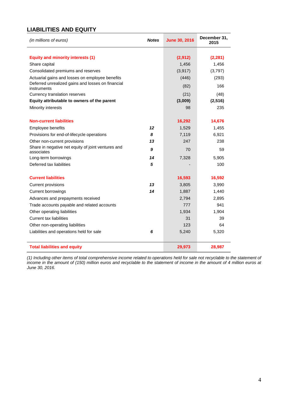# **LIABILITIES AND EQUITY**

| (in millions of euros)                                           | <b>Notes</b> | <b>June 30, 2016</b> | December 31,<br>2015 |
|------------------------------------------------------------------|--------------|----------------------|----------------------|
| <b>Equity and minority interests (1)</b>                         |              | (2,912)              | (2, 281)             |
| Share capital                                                    |              | 1,456                | 1,456                |
| Consolidated premiums and reserves                               |              | (3,917)              | (3,797)              |
| Actuarial gains and losses on employee benefits                  |              | (446)                | (293)                |
| Deferred unrealized gains and losses on financial<br>instruments |              | (82)                 | 166                  |
| Currency translation reserves                                    |              | (21)                 | (48)                 |
| Equity attributable to owners of the parent                      |              | (3,009)              | (2, 516)             |
| Minority interests                                               |              | 98                   | 235                  |
| <b>Non-current liabilities</b>                                   |              | 16,292               | 14,676               |
| Employee benefits                                                | 12           | 1,529                | 1,455                |
| Provisions for end-of-lifecycle operations                       | 8            | 7,119                | 6,921                |
| Other non-current provisions                                     | 13           | 247                  | 238                  |
| Share in negative net equity of joint ventures and<br>associates | 9            | 70                   | 59                   |
| Long-term borrowings                                             | 14           | 7,328                | 5,905                |
| Deferred tax liabilities                                         | 5            |                      | 100                  |
| <b>Current liabilities</b>                                       |              | 16,593               | 16,592               |
| <b>Current provisions</b>                                        | 13           | 3,805                | 3,990                |
| Current borrowings                                               | 14           | 1,887                | 1,440                |
| Advances and prepayments received                                |              | 2,794                | 2,895                |
| Trade accounts payable and related accounts                      |              | 777                  | 941                  |
| Other operating liabilities                                      |              | 1,934                | 1,904                |
| <b>Current tax liabilities</b>                                   |              | 31                   | 39                   |
| Other non-operating liabilities                                  |              | 123                  | 64                   |
| Liabilities and operations held for sale                         | 6            | 5,240                | 5,320                |
| <b>Total liabilities and equity</b>                              |              | 29,973               | 28,987               |

(1) Including other items of total comprehensive income related to operations held for sale not recyclable to the statement of income in the amount of (150) million euros and recyclable to the statement of income in the amount of 4 million euros at June 30, 2016.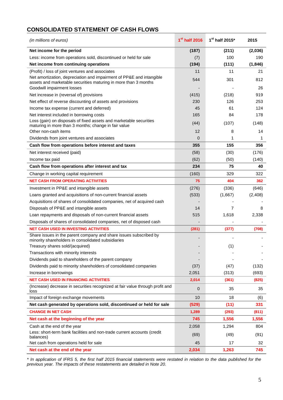# **CONSOLIDATED STATEMENT OF CASH FLOWS**

| (in millions of euros)                                                                                                  | 1 <sup>st</sup> half 2016 | 1st half 2015* | 2015     |
|-------------------------------------------------------------------------------------------------------------------------|---------------------------|----------------|----------|
| Net income for the period                                                                                               | (187)                     | (211)          | (2,036)  |
| Less: income from operations sold, discontinued or held for sale                                                        | (7)                       | 100            | 190      |
| Net income from continuing operations                                                                                   | (194)                     | (111)          | (1, 846) |
| (Profit) / loss of joint ventures and associates                                                                        | 11                        | 11             | 21       |
| Net amortization, depreciation and impairment of PP&E and intangible                                                    | 544                       | 301            | 812      |
| assets and marketable securities maturing in more than 3 months                                                         |                           |                |          |
| Goodwill impairment losses                                                                                              |                           |                | 26       |
| Net increase in (reversal of) provisions                                                                                | (415)                     | (218)<br>126   | 919      |
| Net effect of reverse discounting of assets and provisions                                                              | 230                       |                | 253      |
| Income tax expense (current and deferred)                                                                               | 45                        | 61             | 124      |
| Net interest included in borrowing costs<br>Loss (gain) on disposals of fixed assets and marketable securities          | 165                       | 84             | 178      |
| maturing in more than 3 months; change in fair value                                                                    | (44)                      | (107)          | (148)    |
| Other non-cash items                                                                                                    | 12                        | 8              | 14       |
| Dividends from joint ventures and associates                                                                            | 0                         | 1              | 1        |
| Cash flow from operations before interest and taxes                                                                     | 355                       | 155            | 356      |
| Net interest received (paid)                                                                                            | (58)                      | (30)           | (176)    |
| Income tax paid                                                                                                         | (62)                      | (50)           | (140)    |
| Cash flow from operations after interest and tax                                                                        | 234                       | 75             | 40       |
| Change in working capital requirement                                                                                   | (160)                     | 329            | 322      |
| <b>NET CASH FROM OPERATING ACTIVITIES</b>                                                                               | 75                        | 404            | 362      |
| Investment in PP&E and intangible assets                                                                                | (276)                     | (336)          | (646)    |
| Loans granted and acquisitions of non-current financial assets                                                          | (533)                     | (1,667)        | (2,408)  |
| Acquisitions of shares of consolidated companies, net of acquired cash                                                  |                           |                |          |
| Disposals of PP&E and intangible assets                                                                                 | 14                        | 7              | 8        |
| Loan repayments and disposals of non-current financial assets                                                           | 515                       | 1,618          | 2,338    |
| Disposals of shares of consolidated companies, net of disposed cash                                                     |                           |                |          |
| <b>NET CASH USED IN INVESTING ACTIVITIES</b>                                                                            | (281)                     | (377)          | (708)    |
| Share issues in the parent company and share issues subscribed by<br>minority shareholders in consolidated subsidiaries |                           |                |          |
| Treasury shares sold/(acquired)                                                                                         |                           | (1)            |          |
| Transactions with minority interests                                                                                    |                           |                |          |
| Dividends paid to shareholders of the parent company                                                                    |                           |                |          |
| Dividends paid to minority shareholders of consolidated companies                                                       | (37)                      | (47)           | (132)    |
| Increase in borrowings                                                                                                  | 2,051                     | (313)          | (693)    |
| <b>NET CASH USED IN FINANCING ACTIVITIES</b>                                                                            | 2,014                     | (361)          | (825)    |
| (Increase) decrease in securities recognized at fair value through profit and<br>loss                                   | 0                         | 35             | 35       |
| Impact of foreign exchange movements                                                                                    | 10                        | 18             | (6)      |
| Net cash generated by operations sold, discontinued or held for sale                                                    | (529)                     | (11)           | 331      |
| <b>CHANGE IN NET CASH</b>                                                                                               | 1,289                     | (293)          | (811)    |
| Net cash at the beginning of the year                                                                                   | 745                       | 1,556          | 1,556    |
| Cash at the end of the year                                                                                             | 2,058                     | 1,294          | 804      |
| Less: short-term bank facilities and non-trade current accounts (credit<br>balances)                                    | (69)                      | (49)           | (91)     |
| Net cash from operations held for sale                                                                                  | 45                        | 17             | 32       |
| Net cash at the end of the year                                                                                         | 2,034                     | 1,263          | 745      |

\* In application of IFRS 5, the first half 2015 financial statements were restated in relation to the data published for the previous year. The impacts of these restatements are detailed in Note 20.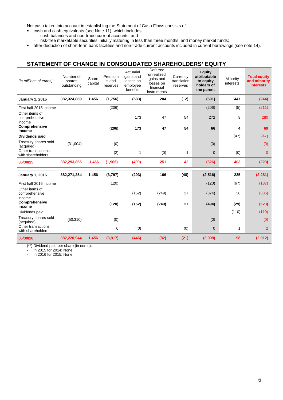Net cash taken into account in establishing the Statement of Cash Flows consists of:

- cash and cash equivalents (see Note 11), which includes:
	- cash balances and non-trade current accounts, and
	- risk-free marketable securities initially maturing in less than three months, and money market funds;

after deduction of short-term bank facilities and non-trade current accounts included in current borrowings (see note 14).

# **STATEMENT OF CHANGE IN CONSOLIDATED SHAREHOLDERS' EQUITY**

| (in millions of euros)                    | Number of<br>shares<br>outstanding | Share<br>capital | Premium<br>s and<br>reserves | Actuarial<br>gains and<br>losses on<br>employee<br>benefits | Deferred<br>unrealized<br>gains and<br>losses on<br>financial<br>instruments | Currency<br>translation<br>reserves | Equity<br>attributable<br>to equity<br>holders of<br>the parent | Minority<br>interests | <b>Total equity</b><br>and minority<br><b>interests</b> |
|-------------------------------------------|------------------------------------|------------------|------------------------------|-------------------------------------------------------------|------------------------------------------------------------------------------|-------------------------------------|-----------------------------------------------------------------|-----------------------|---------------------------------------------------------|
| <b>January 1, 2015</b>                    | 382,324,869                        | 1,456            | (1,756)                      | (583)                                                       | 204                                                                          | (12)                                | (691)                                                           | 447                   | (244)                                                   |
| First half 2015 income<br>Other items of  |                                    |                  | (206)                        |                                                             |                                                                              |                                     | (206)                                                           | (5)                   | (211)                                                   |
| comprehensive<br>income                   |                                    |                  |                              | 173                                                         | 47                                                                           | 54                                  | 272                                                             | 8                     | 280                                                     |
| Comprehensive<br>income                   |                                    |                  | (206)                        | 173                                                         | 47                                                                           | 54                                  | 66                                                              | 4                     | 69                                                      |
| Dividends paid                            |                                    |                  |                              |                                                             |                                                                              |                                     |                                                                 | (47)                  | (47)                                                    |
| Treasury shares sold<br>(acquired)        | (31,004)                           |                  | (0)                          |                                                             |                                                                              |                                     | (0)                                                             |                       | (0)                                                     |
| Other transactions<br>with shareholders   |                                    |                  | (2)                          | 1                                                           | (0)                                                                          | 1                                   | $\mathbf{0}$                                                    | (0)                   | $\Omega$                                                |
| 06/30/15                                  | 382,293,865                        | 1,456            | (1, 965)                     | (409)                                                       | 251                                                                          | 42                                  | (626)                                                           | 403                   | (223)                                                   |
| <b>January 1, 2016</b>                    | 382,271,254                        | 1,456            | (3,797)                      | (293)                                                       | 166                                                                          | (48)                                | (2,516)                                                         | 235                   | (2, 281)                                                |
| First half 2016 income                    |                                    |                  | (120)                        |                                                             |                                                                              |                                     | (120)                                                           | (67)                  | (187)                                                   |
| Other items of<br>comprehensive<br>income |                                    |                  |                              | (152)                                                       | (249)                                                                        | 27                                  | (374)                                                           | 38                    | (336)                                                   |
| Comprehensive<br>income                   |                                    |                  | (120)                        | (152)                                                       | (249)                                                                        | 27                                  | (494)                                                           | (29)                  | (523)                                                   |
| Dividends paid                            |                                    |                  |                              |                                                             |                                                                              |                                     |                                                                 | (110)                 | (110)                                                   |
| Treasury shares sold<br>(acquired)        | (50, 310)                          |                  | (0)                          |                                                             |                                                                              |                                     | (0)                                                             |                       | (0)                                                     |
| Other transactions<br>with shareholders   |                                    |                  | $\mathbf 0$                  | (0)                                                         |                                                                              | (0)                                 | $\overline{0}$                                                  | $\mathbf{1}$          | $\overline{2}$                                          |
| 06/30/16                                  | 382,220,944                        | 1,456            | (3,917)                      | (446)                                                       | (82)                                                                         | (21)                                | (3,009)                                                         | 98                    | (2,912)                                                 |

(\*\*) Dividend paid per share (in euros):

- in 2015 for 2014: None.

- in 2016 for 2015: None.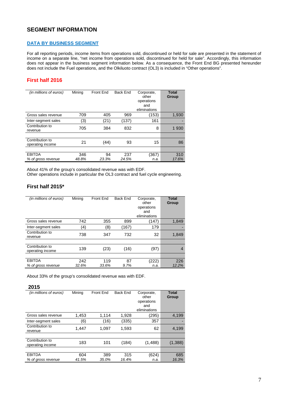# **SEGMENT INFORMATION**

#### **DATA BY BUSINESS SEGMENT**

For all reporting periods, income items from operations sold, discontinued or held for sale are presented in the statement of income on a separate line, "net income from operations sold, discontinued for held for sale". Accordingly, this information does not appear in the business segment information below. As a consequence, the Front End BG presented hereunder does not include the Fuel operations, and the Olkiluoto contract (OL3) is included in "Other operations".

#### **First half 2016**

| (in millions of euros)              | Mining       | Front End   | <b>Back End</b> | Corporate,<br>other<br>operations<br>and<br>eliminations | <b>Total</b><br>Group |
|-------------------------------------|--------------|-------------|-----------------|----------------------------------------------------------|-----------------------|
| Gross sales revenue                 | 709          | 405         | 969             | (153)                                                    | 1,930                 |
| Inter-segment sales                 | (3)          | (21)        | (137)           | 161                                                      |                       |
| Contribution to<br>revenue          | 705          | 384         | 832             | 8                                                        | 1 9 3 0               |
|                                     |              |             |                 |                                                          |                       |
| Contribution to<br>operating income | 21           | (44)        | 93              | 15                                                       | 86                    |
|                                     |              |             |                 |                                                          |                       |
| <b>EBITDA</b><br>% of gross revenue | 346<br>48.8% | 94<br>23.3% | 237<br>24.5%    | (367)<br>n.a.                                            | 310<br>17.6%          |

About 41% of the group's consolidated revenue was with EDF. Other operations include in particular the OL3 contract and fuel cycle engineering.

### **First half 2015\***

| (in millions of euros)              | Mining | <b>Front End</b> | <b>Back End</b> | Corporate,<br>other<br>operations<br>and<br>eliminations | <b>Total</b><br>Group |
|-------------------------------------|--------|------------------|-----------------|----------------------------------------------------------|-----------------------|
| Gross sales revenue                 | 742    | 355              | 899             | (147)                                                    | 1,849                 |
| Inter-segment sales                 | (4)    | (8)              | (167)           | 179                                                      |                       |
| Contribution to<br>revenue          | 738    | 347              | 732             | 32                                                       | 1,849                 |
|                                     |        |                  |                 |                                                          |                       |
| Contribution to<br>operating income | 139    | (23)             | (16)            | (97)                                                     | 4                     |
|                                     |        |                  |                 |                                                          |                       |
| <b>EBITDA</b>                       | 242    | 119              | 87              | (222)                                                    | 226                   |
| % of gross revenue                  | 32.6%  | 33.6%            | 9.7%            | n.a.                                                     | 12.2%                 |

About 33% of the group's consolidated revenue was with EDF.

**2015**

| (in millions of euros)              | Mining       | <b>Front End</b> | <b>Back End</b> | Corporate,<br>other<br>operations<br>and<br>eliminations | <b>Total</b><br>Group |
|-------------------------------------|--------------|------------------|-----------------|----------------------------------------------------------|-----------------------|
| Gross sales revenue                 | 1,453        | 1,114            | 1,928           | (295)                                                    | 4,199                 |
| Inter-segment sales                 | (6)          | (16)             | (335)           | 357                                                      |                       |
| Contribution to<br>revenue          | 1,447        | 1.097            | 1,593           | 62                                                       | 4,199                 |
|                                     |              |                  |                 |                                                          |                       |
| Contribution to<br>operating income | 183          | 101              | (184)           | (1,488)                                                  | (1,388)               |
|                                     |              |                  |                 |                                                          |                       |
| <b>EBITDA</b><br>% of gross revenue | 604<br>41.5% | 389<br>35.0%     | 315<br>16.4%    | (624)<br>n.a.                                            | 685<br>16.3%          |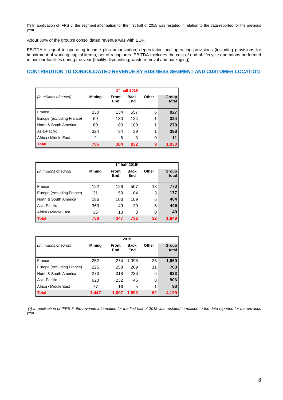(\*) In application of IFRS 5, the segment information for the first half of 2015 was restated in relation to the data reported for the previous year.

About 30% of the group's consolidated revenue was with EDF.

EBITDA is equal to operating income plus amortization, depreciation and operating provisions (including provisions for impairment of working capital items), net of recaptures. EBITDA excludes the cost of end-of-lifecycle operations performed in nuclear facilities during the year (facility dismantling, waste retrieval and packaging).

#### **CONTRIBUTION TO CONSOLIDATED REVENUE BY BUSINESS SEGMENT AND CUSTOMER LOCATION**

|                           | $1st$ half 2016 |              |             |       |                |  |
|---------------------------|-----------------|--------------|-------------|-------|----------------|--|
| (in millions of euros)    | <b>Mining</b>   | Front<br>End | Back<br>End | Other | Group<br>total |  |
| France                    | 230             | 134          | 557         | 6     | 927            |  |
| Europe (excluding France) | 69              | 130          | 124         | 1     | 324            |  |
| North & South America     | 80              | 80           | 109         | 1     | 270            |  |
| Asia-Pacific              | 324             | 34           | 39          | 1     | 398            |  |
| Africa / Middle East      | 2               | 6            | 3           | 0     | 11             |  |
| <b>Total</b>              | 705             | 384          | 832         | 9     | 1,930          |  |

|                           | $1st$ half 2015* |              |                    |       |                |  |
|---------------------------|------------------|--------------|--------------------|-------|----------------|--|
| (in millions of euros)    | <b>Mining</b>    | Front<br>End | <b>Back</b><br>End | Other | Group<br>total |  |
| France                    | 122              | 126          | 507                | 18    | 773            |  |
| Europe (excluding France) | 31               | 59           | 84                 | 3     | 177            |  |
| North & South America     | 186              | 103          | 109                | 6     | 404            |  |
| Asia-Pacific              | 363              | 49           | 29                 | 5     | 446            |  |
| Africa / Middle East      | 36               | 10           | 3                  | 0     | 49             |  |
| <b>Total</b>              | 738              | 347          | 732                | 32    | 1.849          |  |

|                           | 2015          |              |                    |       |                |  |
|---------------------------|---------------|--------------|--------------------|-------|----------------|--|
| (in millions of euros)    | <b>Mining</b> | Front<br>End | <b>Back</b><br>End | Other | Group<br>total |  |
| France                    | 252           | 274          | 1,098              | 36    | 1,660          |  |
| Europe (excluding France) | 225           | 258          | 209                | 11    | 703            |  |
| North & South America     | 273           | 318          | 236                | 6     | 833            |  |
| Asia-Pacific              | 620           | 232          | 46                 | 8     | 906            |  |
| Africa / Middle East      | 77            | 16           | 5                  | 1     | 98             |  |
| <b>Total</b>              | 1.447         | 1.097        | 1.593              | 62    | 4,199          |  |

 (\*) In application of IFRS 5, the revenue information for the first half of 2015 was restated in relation to the data reported for the previous year.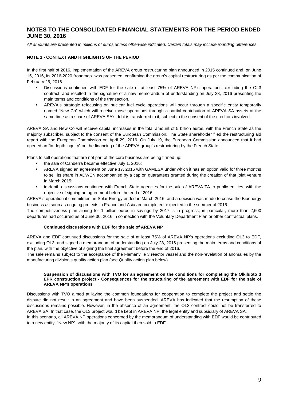## **NOTES TO THE CONSOLIDATED FINANCIAL STATEMENTS FOR THE PERIOD ENDED JUNE 30, 2016**

All amounts are presented in millions of euros unless otherwise indicated. Certain totals may include rounding differences.

#### **NOTE 1 - CONTEXT AND HIGHLIGHTS OF THE PERIOD**

In the first half of 2016, implementation of the AREVA group restructuring plan announced in 2015 continued and, on June 15, 2016, its 2016-2020 "roadmap" was presented, confirming the group's capital restructuring as per the communication of February 26, 2016.

- Discussions continued with EDF for the sale of at least 75% of AREVA NP's operations, excluding the OL3 contract, and resulted in the signature of a new memorandum of understanding on July 28, 2016 presenting the main terms and conditions of the transaction.
- AREVA's strategic refocusing on nuclear fuel cycle operations will occur through a specific entity temporarily named "New Co" which will receive those operations through a partial contribution of AREVA SA assets at the same time as a share of AREVA SA's debt is transferred to it, subject to the consent of the creditors involved.

AREVA SA and New Co will receive capital increases in the total amount of 5 billion euros, with the French State as the majority subscriber, subject to the consent of the European Commission. The State shareholder filed the restructuring aid report with the European Commission on April 29, 2016. On July 19, the European Commission announced that it had opened an "in-depth inquiry" on the financing of the AREVA group's restructuring by the French State.

Plans to sell operations that are not part of the core business are being firmed up:

- the sale of Canberra became effective July 1, 2016;
- AREVA signed an agreement on June 17, 2016 with GAMESA under which it has an option valid for three months to sell its share in ADWEN accompanied by a cap on guarantees granted during the creation of that joint venture in March 2015;
- in-depth discussions continued with French State agencies for the sale of AREVA TA to public entities, with the objective of signing an agreement before the end of 2016.

AREVA's operational commitment in Solar Energy ended in March 2016, and a decision was made to cease the Bioenergy business as soon as ongoing projects in France and Asia are completed, expected in the summer of 2016.

The competitiveness plan aiming for 1 billion euros in savings by 2017 is in progress; in particular, more than 2,600 departures had occurred as of June 30, 2016 in connection with the Voluntary Department Plan or other contractual plans.

#### **Continued discussions with EDF for the sale of AREVA NP**

AREVA and EDF continued discussions for the sale of at least 75% of AREVA NP's operations excluding OL3 to EDF, excluding OL3, and signed a memorandum of understanding on July 28, 2016 presenting the main terms and conditions of the plan, with the objective of signing the final agreement before the end of 2016.

The sale remains subject to the acceptance of the Flamanville 3 reactor vessel and the non-revelation of anomalies by the manufacturing division's quality action plan (see Quality action plan below).

#### **Suspension of discussions with TVO for an agreement on the conditions for completing the Olkiluoto 3 EPR construction project - Consequences for the structuring of the agreement with EDF for the sale of AREVA NP's operations**

Discussions with TVO aimed at laying the common foundations for cooperation to complete the project and settle the dispute did not result in an agreement and have been suspended. AREVA has indicated that the resumption of these discussions remains possible. However, in the absence of an agreement, the OL3 contract could not be transferred to AREVA SA. In that case, the OL3 project would be kept in AREVA NP, the legal entity and subsidiary of AREVA SA.

In this scenario, all AREVA NP operations concerned by the memorandum of understanding with EDF would be contributed to a new entity, "New NP", with the majority of its capital then sold to EDF.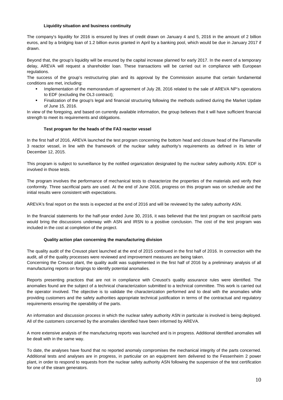#### **Liquidity situation and business continuity**

The company's liquidity for 2016 is ensured by lines of credit drawn on January 4 and 5, 2016 in the amount of 2 billion euros, and by a bridging loan of 1.2 billion euros granted in April by a banking pool, which would be due in January 2017 if drawn.

Beyond that, the group's liquidity will be ensured by the capital increase planned for early 2017. In the event of a temporary delay, AREVA will request a shareholder loan. These transactions will be carried out in compliance with European regulations.

The success of the group's restructuring plan and its approval by the Commission assume that certain fundamental conditions are met, including:

- Implementation of the memorandum of agreement of July 28, 2016 related to the sale of AREVA NP's operations to EDF (excluding the OL3 contract);
- Finalization of the group's legal and financial structuring following the methods outlined during the Market Update of June 15, 2016.

In view of the foregoing, and based on currently available information, the group believes that it will have sufficient financial strength to meet its requirements and obligations.

#### **Test program for the heads of the FA3 reactor vessel**

In the first half of 2016, AREVA launched the test program concerning the bottom head and closure head of the Flamanville 3 reactor vessel, in line with the framework of the nuclear safety authority's requirements as defined in its letter of December 12, 2015.

This program is subject to surveillance by the notified organization designated by the nuclear safety authority ASN. EDF is involved in those tests.

The program involves the performance of mechanical tests to characterize the properties of the materials and verify their conformity. Three sacrificial parts are used. At the end of June 2016, progress on this program was on schedule and the initial results were consistent with expectations.

AREVA's final report on the tests is expected at the end of 2016 and will be reviewed by the safety authority ASN.

In the financial statements for the half-year ended June 30, 2016, it was believed that the test program on sacrificial parts would bring the discussions underway with ASN and IRSN to a positive conclusion. The cost of the test program was included in the cost at completion of the project.

#### **Quality action plan concerning the manufacturing division**

The quality audit of the Creusot plant launched at the end of 2015 continued in the first half of 2016. In connection with the audit, all of the quality processes were reviewed and improvement measures are being taken.

Concerning the Creusot plant, the quality audit was supplemented in the first half of 2016 by a preliminary analysis of all manufacturing reports on forgings to identify potential anomalies.

Reports presenting practices that are not in compliance with Creusot's quality assurance rules were identified. The anomalies found are the subject of a technical characterization submitted to a technical committee. This work is carried out the operator involved. The objective is to validate the characterization performed and to deal with the anomalies while providing customers and the safety authorities appropriate technical justification in terms of the contractual and regulatory requirements ensuring the operability of the parts.

An information and discussion process in which the nuclear safety authority ASN in particular is involved is being deployed. All of the customers concerned by the anomalies identified have been informed by AREVA.

A more extensive analysis of the manufacturing reports was launched and is in progress. Additional identified anomalies will be dealt with in the same way.

To date, the analyses have found that no reported anomaly compromises the mechanical integrity of the parts concerned. Additional tests and analyses are in progress, in particular on an equipment item delivered to the Fessenheim 2 power plant, in order to respond to requests from the nuclear safety authority ASN following the suspension of the test certification for one of the steam generators.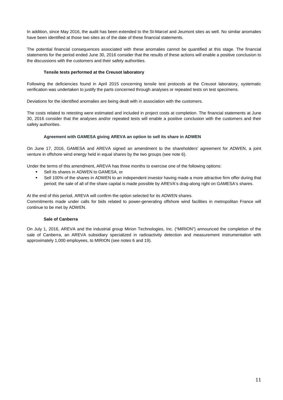In addition, since May 2016, the audit has been extended to the St-Marcel and Jeumont sites as well. No similar anomalies have been identified at those two sites as of the date of these financial statements.

The potential financial consequences associated with these anomalies cannot be quantified at this stage. The financial statements for the period ended June 30, 2016 consider that the results of these actions will enable a positive conclusion to the discussions with the customers and their safety authorities.

#### **Tensile tests performed at the Creusot laboratory**

Following the deficiencies found in April 2015 concerning tensile test protocols at the Creusot laboratory, systematic verification was undertaken to justify the parts concerned through analyses or repeated tests on test specimens.

Deviations for the identified anomalies are being dealt with in association with the customers.

The costs related to retesting were estimated and included in project costs at completion. The financial statements at June 30, 2016 consider that the analyses and/or repeated tests will enable a positive conclusion with the customers and their safety authorities.

#### **Agreement with GAMESA giving AREVA an option to sell its share in ADWEN**

On June 17, 2016, GAMESA and AREVA signed an amendment to the shareholders' agreement for ADWEN, a joint venture in offshore wind energy held in equal shares by the two groups (see note 6).

Under the terms of this amendment, AREVA has three months to exercise one of the following options:

- Sell its shares in ADWEN to GAMESA, or
- Sell 100% of the shares in ADWEN to an independent investor having made a more attractive firm offer during that period; the sale of all of the share capital is made possible by AREVA's drag-along right on GAMESA's shares.

At the end of this period, AREVA will confirm the option selected for its ADWEN shares.

Commitments made under calls for bids related to power-generating offshore wind facilities in metropolitan France will continue to be met by ADWEN.

#### **Sale of Canberra**

On July 1, 2016, AREVA and the industrial group Mirion Technologies, Inc. ("MIRION") announced the completion of the sale of Canberra, an AREVA subsidiary specialized in radioactivity detection and measurement instrumentation with approximately 1,000 employees, to MIRION (see notes 6 and 19).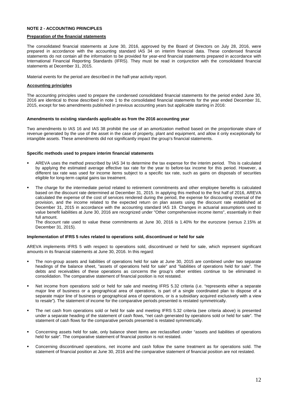#### **NOTE 2 - ACCOUNTING PRINCIPLES**

#### **Preparation of the financial statements**

The consolidated financial statements at June 30, 2016, approved by the Board of Directors on July 28, 2016, were prepared in accordance with the accounting standard IAS 34 on interim financial data. These condensed financial statements do not contain all the information to be provided for year-end financial statements prepared in accordance with International Financial Reporting Standards (IFRS). They must be read in conjunction with the consolidated financial statements at December 31, 2015.

Material events for the period are described in the half-year activity report.

#### **Accounting principles**

The accounting principles used to prepare the condensed consolidated financial statements for the period ended June 30, 2016 are identical to those described in note 1 to the consolidated financial statements for the year ended December 31, 2015, except for two amendments published in previous accounting years but applicable starting in 2016:

#### **Amendments to existing standards applicable as from the 2016 accounting year**

Two amendments to IAS 16 and IAS 38 prohibit the use of an amortization method based on the proportionate share of revenue generated by the use of the asset in the case of property, plant and equipment, and allow it only exceptionally for intangible assets. These amendments did not significantly impact the group's financial statements.

#### **Specific methods used to prepare interim financial statements**

- AREVA uses the method prescribed by IAS 34 to determine the tax expense for the interim period. This is calculated by applying the estimated average effective tax rate for the year to before-tax income for this period. However, a different tax rate was used for income items subject to a specific tax rate, such as gains on disposals of securities eligible for long-term capital gains tax treatment.
- The charge for the intermediate period related to retirement commitments and other employee benefits is calculated based on the discount rate determined at December 31, 2015. In applying this method to the first half of 2016, AREVA calculated the expense of the cost of services rendered during the period, the expense for discounting reversal of the provision, and the income related to the expected return on plan assets using the discount rate established at December 31, 2015 in accordance with the accounting standard IAS 19. Changes in actuarial assumptions used to value benefit liabilities at June 30, 2016 are recognized under "Other comprehensive income items", essentially in their full amount.

The discount rate used to value these commitments at June 30, 2016 is 1.40% for the eurozone (versus 2.15% at December 31, 2015).

#### **Implementation of IFRS 5 rules related to operations sold, discontinued or held for sale**

AREVA implements IFRS 5 with respect to operations sold, discontinued or held for sale, which represent significant amounts in its financial statements at June 30, 2016. In this regard:

- The non-group assets and liabilities of operations held for sale at June 30, 2015 are combined under two separate headings of the balance sheet, "assets of operations held for sale" and "liabilities of operations held for sale". The debts and receivables of these operations as concerns the group's other entities continue to be eliminated in consolidation. The comparative statement of financial position is not restated.
- Net income from operations sold or held for sale and meeting IFRS 5.32 criteria (i.e. "represents either a separate major line of business or a geographical area of operations, is part of a single coordinated plan to dispose of a separate major line of business or geographical area of operations, or is a subsidiary acquired exclusively with a view to resale"). The statement of income for the comparative periods presented is restated symmetrically.
- The net cash from operations sold or held for sale and meeting IFRS 5.32 criteria (see criteria above) is presented under a separate heading of the statement of cash flows, "net cash generated by operations sold or held for sale". The statement of cash flows for the comparative periods presented is restated symmetrically.
- Concerning assets held for sale, only balance sheet items are reclassified under "assets and liabilities of operations held for sale". The comparative statement of financial position is not restated.
- Concerning discontinued operations, net income and cash follow the same treatment as for operations sold. The statement of financial position at June 30, 2016 and the comparative statement of financial position are not restated.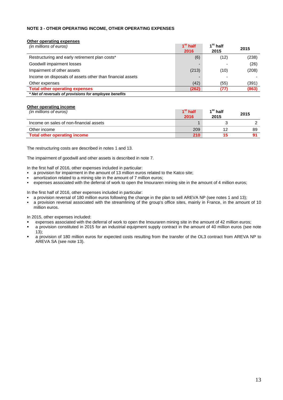#### **NOTE 3 - OTHER OPERATING INCOME, OTHER OPERATING EXPENSES**

#### **Other operating expenses**

| (in millions of euros)                                    | $1st$ half<br>2016 | 1 <sup>st</sup> half<br>2015 | 2015  |
|-----------------------------------------------------------|--------------------|------------------------------|-------|
| Restructuring and early retirement plan costs*            | (6)                | (12)                         | (238) |
| Goodwill impairment losses                                |                    |                              | (26)  |
| Impairment of other assets                                | (213)              | (10)                         | (208) |
| Income on disposals of assets other than financial assets |                    |                              |       |
| Other expenses                                            | (42)               | (55)                         | (391) |
| <b>Total other operating expenses</b>                     | (262)              |                              | (863) |
| * Net of reversals of provisions for employee benefits    |                    |                              |       |

#### **Other operating income**

| (in millions of euros)                  | 1 <sup>st</sup> half<br>2016 | 1 <sup>st</sup> half<br>2015 | 2015 |
|-----------------------------------------|------------------------------|------------------------------|------|
| Income on sales of non-financial assets |                              |                              |      |
| Other income                            | 209                          |                              | 89   |
| Total other operating income            | 210                          |                              |      |

The restructuring costs are described in notes 1 and 13.

The impairment of goodwill and other assets is described in note 7.

In the first half of 2016, other expenses included in particular:

- a provision for impairment in the amount of 13 million euros related to the Katco site;
- amortization related to a mining site in the amount of 7 million euros;
- expenses associated with the deferral of work to open the Imouraren mining site in the amount of 4 million euros;

In the first half of 2016, other expenses included in particular:

- a provision reversal of 180 million euros following the change in the plan to sell AREVA NP (see notes 1 and 13);
- a provision reversal associated with the streamlining of the group's office sites, mainly in France, in the amount of 10 million euros.

In 2015, other expenses included:

- expenses associated with the deferral of work to open the Imouraren mining site in the amount of 42 million euros;
- a provision constituted in 2015 for an industrial equipment supply contract in the amount of 40 million euros (see note 13);
- a provision of 180 million euros for expected costs resulting from the transfer of the OL3 contract from AREVA NP to AREVA SA (see note 13).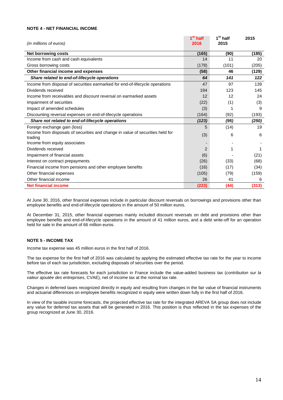#### **NOTE 4 - NET FINANCIAL INCOME**

| (in millions of euros)                                                                    | 1 <sup>st</sup> half<br>2016 | 1 <sup>st</sup> half<br>2015 | 2015  |
|-------------------------------------------------------------------------------------------|------------------------------|------------------------------|-------|
| <b>Net borrowing costs</b>                                                                | (165)                        | (90)                         | (185) |
| Income from cash and cash equivalents                                                     | 14                           | 11                           | 20    |
| Gross borrowing costs                                                                     | (178)                        | (101)                        | (205) |
| Other financial income and expenses                                                       | (58)                         | 46                           | (129) |
| Share related to end-of-lifecycle operations                                              | 64                           | 141                          | 122   |
| Income from disposal of securities earmarked for end-of-lifecycle operations              | 47                           | 97                           | 139   |
| Dividends received                                                                        | 194                          | 123                          | 145   |
| Income from receivables and discount reversal on earmarked assets                         | 12                           | 12                           | 24    |
| Impairment of securities                                                                  | (22)                         | (1)                          | (3)   |
| Impact of amended schedules                                                               | (3)                          |                              | 9     |
| Discounting reversal expenses on end-of-lifecycle operations                              | (164)                        | (92)                         | (193) |
| Share not related to end-of-lifecycle operations                                          | (123)                        | (95)                         | (250) |
| Foreign exchange gain (loss)                                                              | 5                            | (14)                         | 19    |
| Income from disposals of securities and change in value of securities held for<br>trading | (3)                          | 6                            | 6     |
| Income from equity associates                                                             |                              |                              |       |
| Dividends received                                                                        | 2                            |                              | 1     |
| Impairment of financial assets                                                            | (6)                          |                              | (21)  |
| Interest on contract prepayments                                                          | (26)                         | (33)                         | (68)  |
| Financial income from pensions and other employee benefits                                | (16)                         | (17)                         | (34)  |
| Other financial expenses                                                                  | (105)                        | (79)                         | (159) |
| Other financial income                                                                    | 26                           | 41                           | 6     |
| <b>Net financial income</b>                                                               | (223)                        | (44)                         | (313) |

At June 30, 2016, other financial expenses include in particular discount reversals on borrowings and provisions other than employee benefits and end-of-lifecycle operations in the amount of 50 million euros.

At December 31, 2015, other financial expenses mainly included discount reversals on debt and provisions other than employee benefits and end-of-lifecycle operations in the amount of 41 million euros, and a debt write-off for an operation held for sale in the amount of 66 million euros.

#### **NOTE 5 - INCOME TAX**

Income tax expense was 45 million euros in the first half of 2016.

The tax expense for the first half of 2016 was calculated by applying the estimated effective tax rate for the year to income before tax of each tax jurisdiction, excluding disposals of securities over the period.

The effective tax rate forecasts for each jurisdiction in France include the value-added business tax (contribution sur la valeur ajoutée des entreprises, CVAE), net of income tax at the normal tax rate.

Changes in deferred taxes recognized directly in equity and resulting from changes in the fair value of financial instruments and actuarial differences on employee benefits recognized in equity were written down fully in the first half of 2016.

In view of the taxable income forecasts, the projected effective tax rate for the integrated AREVA SA group does not include any value for deferred tax assets that will be generated in 2016. This position is thus reflected in the tax expenses of the group recognized at June 30, 2016.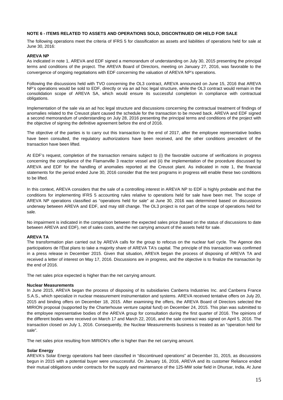#### **NOTE 6 - ITEMS RELATED TO ASSETS AND OPERATIONS SOLD, DISCONTINUED OR HELD FOR SALE**

The following operations meet the criteria of IFRS 5 for classification as assets and liabilities of operations held for sale at June 30, 2016:

#### **AREVA NP**

As indicated in note 1, AREVA and EDF signed a memorandum of understanding on July 30, 2015 presenting the principal terms and conditions of the project. The AREVA Board of Directors, meeting on January 27, 2016, was favorable to the convergence of ongoing negotiations with EDF concerning the valuation of AREVA NP's operations.

Following the discussions held with TVO concerning the OL3 contract, AREVA announced on June 15, 2016 that AREVA NP's operations would be sold to EDF, directly or via an ad hoc legal structure, while the OL3 contract would remain in the consolidation scope of AREVA SA, which would ensure its successful completion in compliance with contractual obligations.

Implementation of the sale via an ad hoc legal structure and discussions concerning the contractual treatment of findings of anomalies related to the Creusot plant caused the schedule for the transaction to be moved back. AREVA and EDF signed a second memorandum of understanding on July 28, 2016 presenting the principal terms and conditions of the project with the objective of signing the definitive agreement before the end of 2016.

The objective of the parties is to carry out this transaction by the end of 2017, after the employee representative bodies have been consulted, the regulatory authorizations have been received, and the other conditions precedent of the transaction have been lifted.

At EDF's request, completion of the transaction remains subject to (i) the favorable outcome of verifications in progress concerning the compliance of the Flamanville 3 reactor vessel and (ii) the implementation of the procedure discussed by AREVA and EDF for the handling of anomalies reported at the Creusot plant. As indicated in note 1, the financial statements for the period ended June 30, 2016 consider that the test programs in progress will enable these two conditions to be lifted.

In this context, AREVA considers that the sale of a controlling interest in AREVA NP to EDF is highly probable and that the conditions for implementing IFRS 5 accounting rules relative to operations held for sale have been met. The scope of AREVA NP operations classified as "operations held for sale" at June 30, 2016 was determined based on discussions underway between AREVA and EDF, and may still change. The OL3 project is not part of the scope of operations held for sale.

No impairment is indicated in the comparison between the expected sales price (based on the status of discussions to date between AREVA and EDF), net of sales costs, and the net carrying amount of the assets held for sale.

#### **AREVA TA**

The transformation plan carried out by AREVA calls for the group to refocus on the nuclear fuel cycle. The Agence des participations de l'État plans to take a majority share of AREVA TA's capital. The principle of this transaction was confirmed in a press release in December 2015. Given that situation, AREVA began the process of disposing of AREVA TA and received a letter of interest on May 17, 2016. Discussions are in progress, and the objective is to finalize the transaction by the end of 2016.

The net sales price expected is higher than the net carrying amount.

#### **Nuclear Measurements**

In June 2015, AREVA began the process of disposing of its subsidiaries Canberra Industries Inc. and Canberra France S.A.S., which specialize in nuclear measurement instrumentation and systems. AREVA received tentative offers on July 20, 2015 and binding offers on December 18, 2015. After examining the offers, the AREVA Board of Directors selected the MIRION proposal (supported by the Charterhouse venture capital fund) on December 24, 2015. This plan was submitted to the employee representative bodies of the AREVA group for consultation during the first quarter of 2016. The opinions of the different bodies were received on March 17 and March 22, 2016, and the sale contract was signed on April 5, 2016. The transaction closed on July 1, 2016. Consequently, the Nuclear Measurements business is treated as an "operation held for sale".

The net sales price resulting from MIRION's offer is higher than the net carrying amount.

#### **Solar Energy**

AREVA's Solar Energy operations had been classified in "discontinued operations" at December 31, 2015, as discussions begun in 2015 with a potential buyer were unsuccessful. On January 16, 2016, AREVA and its customer Reliance ended their mutual obligations under contracts for the supply and maintenance of the 125-MW solar field in Dhursar, India. At June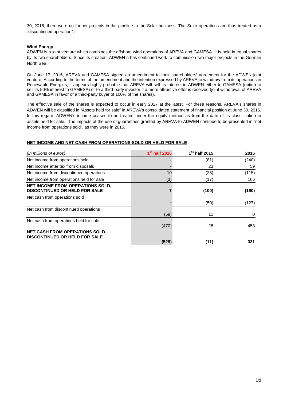30, 2016, there were no further projects in the pipeline in the Solar business. The Solar operations are thus treated as a "discontinued operation".

#### **Wind Energy**

ADWEN is a joint venture which combines the offshore wind operations of AREVA and GAMESA. It is held in equal shares by its two shareholders. Since its creation, ADWEN n has continued work to commission two major projects in the German North Sea.

On June 17, 2016, AREVA and GAMESA signed an amendment to their shareholders' agreement for the ADWEN joint venture. According to the terms of the amendment and the intention expressed by AREVA to withdraw from its operations in Renewable Energies, it appears highly probable that AREVA will sell its interest in ADWEN either to GAMESA (option to sell its 50% interest to GAMESA) or to a third-party investor if a more attractive offer is received (joint withdrawal of AREVA and GAMESA in favor of a third-party buyer of 100% of the shares).

The effective sale of the shares is expected to occur in early 2017 at the latest. For these reasons, AREVA's shares in ADWEN will be classified in "Assets held for sale" in AREVA's consolidated statement of financial position at June 30, 2016. In this regard, ADWEN's income ceases to be treated under the equity method as from the date of its classification in assets held for sale. The impacts of the use of guarantees granted by AREVA to ADWEN continue to be presented in "net income from operations sold", as they were in 2015.

#### **NET INCOME AND NET CASH FROM OPERATIONS SOLD OR HELD FOR SALE**

| (in millions of euros)                                                          | $1st$ half 2016 | 1 <sup>st</sup> half 2015 | 2015     |
|---------------------------------------------------------------------------------|-----------------|---------------------------|----------|
| Net income from operations sold                                                 |                 | (81)                      | (240)    |
| Net income after tax from disposals                                             |                 | 23                        | 59       |
| Net income from discontinued operations                                         | 10              | (25)                      | (115)    |
| Net income from operations held for sale                                        | (3)             | (17)                      | 106      |
| <b>NET INCOME FROM OPERATIONS SOLD,</b><br><b>DISCONTINUED OR HELD FOR SALE</b> |                 | (100)                     | (190)    |
| Net cash from operations sold                                                   |                 |                           |          |
|                                                                                 |                 | (50)                      | (127)    |
| Net cash from discontinued operations                                           | (59)            | 11                        | $\Omega$ |
| Net cash from operations held for sale                                          |                 |                           |          |
|                                                                                 | (470)           | 28                        | 458      |
| <b>NET CASH FROM OPERATIONS SOLD,</b><br><b>DISCONTINUED OR HELD FOR SALE</b>   |                 |                           |          |
|                                                                                 | (529)           | (11)                      | 331      |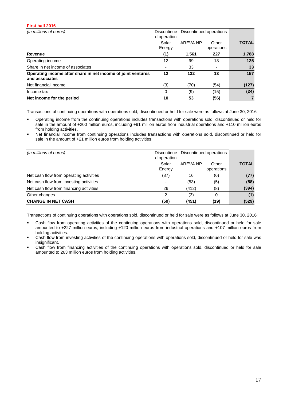#### **First half 2016**

| (in millions of euros)                                                         | <b>Discontinue</b><br>d operation | Discontinued operations |                     |              |
|--------------------------------------------------------------------------------|-----------------------------------|-------------------------|---------------------|--------------|
|                                                                                | Solar<br>Energy                   | AREVA NP                | Other<br>operations | <b>TOTAL</b> |
| Revenue                                                                        | (1)                               | 1,561                   | 227                 | 1,788        |
| Operating income                                                               | 12                                | 99                      | 13                  | 125          |
| Share in net income of associates                                              |                                   | 33                      |                     | 33           |
| Operating income after share in net income of joint ventures<br>and associates | 12                                | 132                     | 13                  | 157          |
| Net financial income                                                           | (3)                               | (70)                    | (54)                | (127)        |
| Income tax                                                                     | 0                                 | (9)                     | (15)                | (24)         |
| Net income for the period                                                      | 10                                | 53                      | (56)                |              |

Transactions of continuing operations with operations sold, discontinued or held for sale were as follows at June 30, 2016:

- Operating income from the continuing operations includes transactions with operations sold, discontinued or held for sale in the amount of +200 million euros, including +91 million euros from industrial operations and +110 million euros from holding activities.
- Net financial income from continuing operations includes transactions with operations sold, discontinued or held for sale in the amount of +21 million euros from holding activities.

| (in millions of euros)                  | Discontinue<br>d operation | Discontinued operations |                     |              |
|-----------------------------------------|----------------------------|-------------------------|---------------------|--------------|
|                                         | Solar<br>Energy            | AREVA NP                | Other<br>operations | <b>TOTAL</b> |
| Net cash flow from operating activities | (87)                       | 16                      | (6)                 | (77)         |
| Net cash flow from investing activities |                            | (53)                    | (5)                 | (58)         |
| Net cash flow from financing activities | 26                         | (412)                   | (8)                 | (394)        |
| Other changes                           | 2                          | (3)                     | 0                   | (1)          |
| <b>CHANGE IN NET CASH</b>               | (59)                       | (451)                   | (19)                | (529)        |

Transactions of continuing operations with operations sold, discontinued or held for sale were as follows at June 30, 2016:

- Cash flow from operating activities of the continuing operations with operations sold, discontinued or held for sale amounted to +227 million euros, including +120 million euros from industrial operations and +107 million euros from holding activities.
- Cash flow from investing activities of the continuing operations with operations sold, discontinued or held for sale was insignificant.
- Cash flow from financing activities of the continuing operations with operations sold, discontinued or held for sale amounted to 263 million euros from holding activities.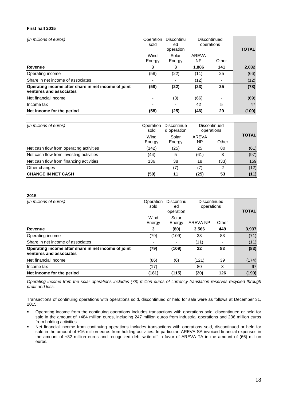#### **First half 2015**

| (in millions of euros)                                                         | Operation<br>sold | Discontinu<br>ed<br>operation |             | Discontinued<br>operations | <b>TOTAL</b> |
|--------------------------------------------------------------------------------|-------------------|-------------------------------|-------------|----------------------------|--------------|
|                                                                                | Wind<br>Energy    | Solar<br>Energy               | AREVA<br>NP | Other                      |              |
| Revenue                                                                        | 3                 | 3                             | 1,886       | 141                        | 2,032        |
| Operating income                                                               | (58)              | (22)                          | (11)        | 25                         | (66)         |
| Share in net income of associates                                              |                   |                               | (12)        |                            | (12)         |
| Operating income after share in net income of joint<br>ventures and associates | (58)              | (22)                          | (23)        | 25                         | (78)         |
| Net financial income                                                           |                   | (3)                           | (66)        |                            | (69)         |
| Income tax                                                                     |                   | $\overline{\phantom{a}}$      | 42          | 5                          | 47           |
| Net income for the period                                                      | (58)              | (25)                          | (46)        | 29                         | (100)        |

| (in millions of euros)                  | Operation<br>sold | <b>Discontinue</b><br>d operation | Discontinued<br>operations |       |              |
|-----------------------------------------|-------------------|-----------------------------------|----------------------------|-------|--------------|
|                                         | Wind<br>Energy    | Solar<br>Energy                   | AREVA<br>ΝP                | Other | <b>TOTAL</b> |
| Net cash flow from operating activities | (142)             | (25)                              | 25                         | 80    | (61)         |
| Net cash flow from investing activities | (44)              | 5                                 | (61)                       | 3     | (97)         |
| Net cash flow from financing activities | 136               | 38                                | 18                         | (33)  | 159          |
| Other changes                           | $\overline{a}$    | (7)                               | (7)                        | 2     | (12)         |
| <b>CHANGE IN NET CASH</b>               | (50)              | 11                                | (25)                       | 53    | (11)         |

#### **2015**

| (in millions of euros)                                                         | Operation<br>sold | Discontinu<br>ed<br>operation | Discontinued<br>operations |       | <b>TOTAL</b> |
|--------------------------------------------------------------------------------|-------------------|-------------------------------|----------------------------|-------|--------------|
|                                                                                | Wind<br>Energy    | Solar<br>Energy               | AREVA NP                   | Other |              |
| <b>Revenue</b>                                                                 | 3                 | (80)                          | 3,566                      | 449   | 3,937        |
| Operating income                                                               | (79)              | (109)                         | 33                         | 83    | (71)         |
| Share in net income of associates                                              |                   | ۰                             | (11)                       |       | (11)         |
| Operating income after share in net income of joint<br>ventures and associates | (79)              | (109)                         | 22                         | 83    | (83)         |
| Net financial income                                                           | (86)              | (6)                           | (121)                      | 39    | (174)        |
| Income tax                                                                     | (17)              | ٠                             | 80                         | 3     | 67           |
| Net income for the period                                                      | (181)             | (115)                         | (20)                       | 126   | (190)        |

Operating income from the solar operations includes (78) million euros of currency translation reserves recycled through profit and loss.

Transactions of continuing operations with operations sold, discontinued or held for sale were as follows at December 31, 2015:

- Operating income from the continuing operations includes transactions with operations sold, discontinued or held for sale in the amount of +484 million euros, including 247 million euros from industrial operations and 236 million euros from holding activities.
- Net financial income from continuing operations includes transactions with operations sold, discontinued or held for sale in the amount of +16 million euros from holding activities. In particular, AREVA SA invoiced financial expenses in the amount of +82 million euros and recognized debt write-off in favor of AREVA TA in the amount of (66) million euros.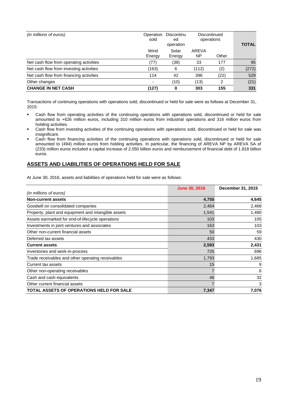| (in millions of euros)                  | Operation<br>sold | <b>Discontinu</b><br>ed<br>operation |             | Discontinued<br>operations | <b>TOTAL</b> |
|-----------------------------------------|-------------------|--------------------------------------|-------------|----------------------------|--------------|
|                                         | Wind<br>Energy    | Solar<br>Energy                      | AREVA<br>ΝP | Other                      |              |
| Net cash flow from operating activities | (77)              | (38)                                 | 33          | 177                        | 95           |
| Net cash flow from investing activities | (163)             | 6                                    | (112)       | (2)                        | (272)        |
| Net cash flow from financing activities | 114               | 42                                   | 396         | (22)                       | 529          |
| Other changes                           | ۰                 | (10)                                 | (13)        | 2                          | (21)         |
| <b>CHANGE IN NET CASH</b>               | (127)             | 0                                    | 303         | 155                        | 331          |

Transactions of continuing operations with operations sold, discontinued or held for sale were as follows at December 31, 2015:

- Cash flow from operating activities of the continuing operations with operations sold, discontinued or held for sale amounted to +626 million euros, including 310 million euros from industrial operations and 316 million euros from holding activities.
- Cash flow from investing activities of the continuing operations with operations sold, discontinued or held for sale was insignificant.
- Cash flow from financing activities of the continuing operations with operations sold, discontinued or held for sale amounted to (494) million euros from holding activities. In particular, the financing of AREVA NP by AREVA SA of (233) million euros included a capital increase of 2.050 billion euros and reimbursement of financial debt of 1.818 billion euros.

# **ASSETS AND LIABILITIES OF OPERATIONS HELD FOR SALE**

At June 30, 2016, assets and liabilities of operations held for sale were as follows:

|                                                     | <b>June 30, 2016</b> | December 31, 2015 |
|-----------------------------------------------------|----------------------|-------------------|
| (in millions of euros)                              |                      |                   |
| <b>Non-current assets</b>                           | 4,755                | 4,645             |
| Goodwill on consolidated companies                  | 2,464                | 2,468             |
| Property, plant and equipment and intangible assets | 1,541                | 1,480             |
| Assets earmarked for end-of-lifecycle operations    | 103                  | 105               |
| Investments in joint ventures and associates        | 163                  | 103               |
| Other non-current financial assets                  | 50                   | 59                |
| Deferred tax assets                                 | 433                  | 430               |
| <b>Current assets</b>                               | 2,593                | 2,431             |
| Inventories and work-in-process                     | 725                  | 696               |
| Trade receivables and other operating receivables   | 1,793                | 1,685             |
| Current tax assets                                  | 15                   | 9                 |
| Other non-operating receivables                     |                      | 6                 |
| Cash and cash equivalents                           | 46                   | 32                |
| Other current financial assets                      |                      | 3                 |
| <b>TOTAL ASSETS OF OPERATIONS HELD FOR SALE</b>     | 7,347                | 7.076             |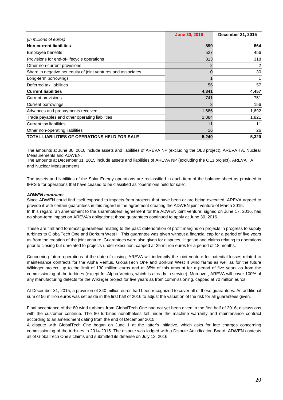|                                                               | <b>June 30, 2016</b> | December 31, 2015 |
|---------------------------------------------------------------|----------------------|-------------------|
| (in millions of euros)                                        |                      |                   |
| <b>Non-current liabilities</b>                                | 899                  | 864               |
| Employee benefits                                             | 527                  | 456               |
| Provisions for end-of-lifecycle operations                    | 313                  | 318               |
| Other non-current provisions                                  | $\mathcal{P}$        | 2                 |
| Share in negative net equity of joint ventures and associates | 0                    | 30                |
| Long-term borrowings                                          |                      |                   |
| Deferred tax liabilities                                      | 56                   | 57                |
| <b>Current liabilities</b>                                    | 4,341                | 4,457             |
| Current provisions                                            | 741                  | 751               |
| Current borrowings                                            | 3                    | 156               |
| Advances and prepayments received                             | 1,686                | 1,692             |
| Trade payables and other operating liabilities                | 1,884                | 1,821             |
| Current tax liabilities                                       | 11                   | 11                |
| Other non-operating liabilities                               | 16                   | 26                |
| <b>TOTAL LIABILITIES OF OPERATIONS HELD FOR SALE</b>          | 5,240                | 5,320             |

The amounts at June 30, 2016 include assets and liabilities of AREVA NP (excluding the OL3 project), AREVA TA, Nuclear Measurements and ADWEN.

The amounts at December 31, 2015 include assets and liabilities of AREVA NP (excluding the OL3 project), AREVA TA and Nuclear Measurements.

The assets and liabilities of the Solar Energy operations are reclassified in each item of the balance sheet as provided in IFRS 5 for operations that have ceased to be classified as "operations held for sale".

#### **ADWEN contracts**

Since ADWEN could find itself exposed to impacts from projects that have been or are being executed, AREVA agreed to provide it with certain guarantees in this regard in the agreement creating the ADWEN joint venture of March 2015. In this regard, an amendment to the shareholders' agreement for the ADWEN joint venture, signed on June 17, 2016, has no short-term impact on AREVA's obligations; those guarantees continued to apply at June 30, 2016.

These are first and foremost guarantees relating to the past: deterioration of profit margins on projects in progress to supply turbines to GlobalTech One and Borkum West II. This guarantee was given without a financial cap for a period of five years as from the creation of the joint venture. Guarantees were also given for disputes, litigation and claims relating to operations prior to closing but unrelated to projects under execution, capped at 25 million euros for a period of 18 months.

Concerning future operations at the date of closing, AREVA will indemnify the joint venture for potential losses related to maintenance contracts for the Alpha Ventus, GlobalTech One and Borkum West II wind farms as well as for the future Wikinger project, up to the limit of 130 million euros and at 85% of this amount for a period of five years as from the commissioning of the turbines (except for Alpha Ventus, which is already in service). Moreover, AREVA will cover 100% of any manufacturing defects for the Wikinger project for five years as from commissioning, capped at 70 million euros.

At December 31, 2015, a provision of 340 million euros had been recognized to cover all of these guarantees. An additional sum of 56 million euros was set aside in the first half of 2016 to adjust the valuation of the risk for all guarantees given.

Final acceptance of the 80 wind turbines from GlobalTech One had not yet been given in the first half of 2016; discussions with the customer continue. The 80 turbines nonetheless fall under the machine warranty and maintenance contract according to an amendment dating from the end of December 2015.

A dispute with GlobalTech One began on June 1 at the latter's initiative, which asks for late charges concerning commissioning of the turbines in 2014-2015. The dispute was lodged with a Dispute Adjudication Board. ADWEN contests all of GlobalTech One's claims and submitted its defense on July 13, 2016.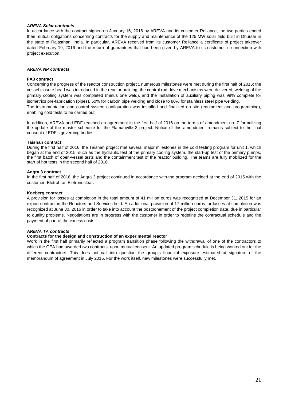#### **AREVA Solar contracts**

In accordance with the contract signed on January 16, 2016 by AREVA and its customer Reliance, the two parties ended their mutual obligations concerning contracts for the supply and maintenance of the 125 MW solar field built in Dhursar in the state of Rajasthan, India. In particular, AREVA received from its customer Reliance a certificate of project takeover dated February 19, 2016 and the return of guarantees that had been given by AREVA to its customer in connection with project execution.

#### **AREVA NP contracts**

#### **FA3 contract**

Concerning the progress of the reactor construction project, numerous milestones were met during the first half of 2016: the vessel closure head was introduced in the reactor building, the control rod drive mechanisms were delivered, welding of the primary cooling system was completed (minus one weld), and the installation of auxiliary piping was 99% complete for isometrics pre-fabrication (pipes), 50% for carbon pipe welding and close to 80% for stainless steel pipe welding. The instrumentation and control system configuration was installed and finalized on site (equipment and programming), enabling cold tests to be carried out.

In addition, AREVA and EDF reached an agreement in the first half of 2016 on the terms of amendment no. 7 formalizing the update of the master schedule for the Flamanville 3 project. Notice of this amendment remains subject to the final consent of EDF's governing bodies.

#### **Taishan contract**

During the first half of 2016, the Taishan project met several major milestones in the cold testing program for unit 1, which began at the end of 2015, such as the hydraulic test of the primary cooling system, the start-up test of the primary pumps, the first batch of open-vessel tests and the containment test of the reactor building. The teams are fully mobilized for the start of hot tests in the second half of 2016.

#### **Angra 3 contract**

In the first half of 2016, the Angra 3 project continued in accordance with the program decided at the end of 2015 with the customer, Eletrobrás Eletronuclear.

#### **Koeberg contract**

A provision for losses at completion in the total amount of 41 million euros was recognized at December 31, 2015 for an export contract in the Reactors and Services field. An additional provision of 17 million euros for losses at completion was recognized at June 30, 2016 in order to take into account the postponement of the project completion date, due in particular to quality problems. Negotiations are in progress with the customer in order to redefine the contractual schedule and the payment of part of the excess costs.

#### **AREVA TA contracts**

#### **Contracts for the design and construction of an experimental reactor**

Work in the first half primarily reflected a program transition phase following the withdrawal of one of the contractors to which the CEA had awarded two contracts, upon mutual consent. An updated program schedule is being worked out for the different contractors. This does not call into question the group's financial exposure estimated at signature of the memorandum of agreement in July 2015. For the work itself, new milestones were successfully met.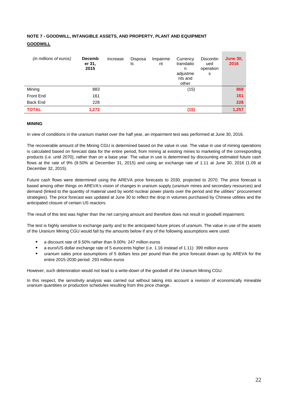### **NOTE 7 - GOODWILL, INTANGIBLE ASSETS, AND PROPERTY, PLANT AND EQUIPMENT GOODWILL**

| (in millions of euros) | <b>Decemb</b><br>er 31,<br>2015 | Increase | Disposa<br>ls | Impairme<br>nt | Currency<br>translatio<br>n<br>adjustme<br>nts and<br>other | <b>Discontin</b><br>ued<br>operation<br>s | <b>June 30,</b><br>2016 |
|------------------------|---------------------------------|----------|---------------|----------------|-------------------------------------------------------------|-------------------------------------------|-------------------------|
| Mining                 | 883                             |          |               |                | (15)                                                        |                                           | 868                     |
| <b>Front End</b>       | 161                             |          |               |                |                                                             |                                           | 161                     |
| <b>Back End</b>        | 228                             |          |               |                |                                                             |                                           | 228                     |
| <b>TOTAL</b>           | 1,272                           |          |               |                | (15)                                                        |                                           | 1,257                   |

#### **MINING**

In view of conditions in the uranium market over the half year, an impairment test was performed at June 30, 2016.

The recoverable amount of the Mining CGU is determined based on the value in use. The value in use of mining operations is calculated based on forecast data for the entire period, from mining at existing mines to marketing of the corresponding products (i.e. until 2070), rather than on a base year. The value in use is determined by discounting estimated future cash flows at the rate of 9% (9.50% at December 31, 2015) and using an exchange rate of 1.11 at June 30, 2016 (1.09 at December 32, 2015).

Future cash flows were determined using the AREVA price forecasts to 2030, projected to 2070. The price forecast is based among other things on AREVA's vision of changes in uranium supply (uranium mines and secondary resources) and demand (linked to the quantity of material used by world nuclear power plants over the period and the utilities'' procurement strategies). The price forecast was updated at June 30 to reflect the drop in volumes purchased by Chinese utilities and the anticipated closure of certain US reactors.

The result of this test was higher than the net carrying amount and therefore does not result in goodwill impairment.

The test is highly sensitive to exchange parity and to the anticipated future prices of uranium. The value in use of the assets of the Uranium Mining CGU would fall by the amounts below if any of the following assumptions were used:

- a discount rate of 9.50% rather than 9.00%: 247 million euros
- a euro/US dollar exchange rate of 5 eurocents higher (i.e. 1.16 instead of 1.11): 399 million euros
- uranium sales price assumptions of 5 dollars less per pound than the price forecast drawn up by AREVA for the entire 2015-2030 period: 293 million euros

However, such deterioration would not lead to a write-down of the goodwill of the Uranium Mining CGU.

In this respect, the sensitivity analysis was carried out without taking into account a revision of economically mineable uranium quantities or production schedules resulting from this price change.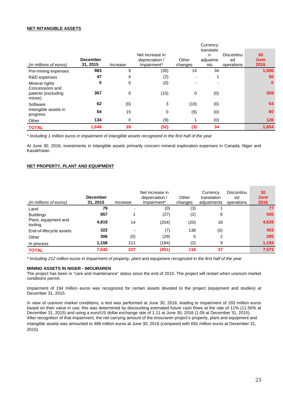#### **NET INTANGIBLE ASSETS**

| (in millions of euros)            | <b>December</b><br>31, 2015 | Increase | Net increase in<br>depreciation /<br>Impairment* | Other<br>changes | Currency<br>translatio<br>n<br>adjustme<br>nts | <b>Discontinu</b><br>ed<br>operations | 30<br>June<br>2016 |
|-----------------------------------|-----------------------------|----------|--------------------------------------------------|------------------|------------------------------------------------|---------------------------------------|--------------------|
| Pre-mining expenses               | 983                         | 9        | (35)                                             | 14               | 34                                             |                                       | 1,006              |
| R&D expenses                      | 47                          | 4        | (2)                                              | ۰                | 1                                              |                                       | 50                 |
| Mineral rights<br>Concessions and | 0                           | 0        | (0)                                              | ۰                |                                                |                                       | $\mathbf{0}$       |
| patents (excluding<br>mines)      | 367                         | 0        | (10)                                             | $\mathbf 0$      | (0)                                            |                                       | 358                |
| Software                          | 62                          | (0)      | 3                                                | (10)             | (0)                                            |                                       | 54                 |
| Intangible assets in<br>progress  | 54                          | 15       | 0                                                | (9)              | (0)                                            |                                       | 60                 |
| Other                             | 134                         | 0        | (9)                                              |                  | (0)                                            |                                       | 126                |
| <b>TOTAL</b>                      | 1,648                       | 28       | (52)                                             | (3)              | 34                                             |                                       | 1,654              |

\* Including 1 million euros in impairment of intangible assets recognized in the first half of the year

At June 30, 2016, investments in intangible assets primarily concern mineral exploration expenses in Canada, Niger and Kazakhstan.

#### **NET PROPERTY, PLANT AND EQUIPMENT**

| (in millions of euros)          | <b>December</b><br>31, 2015 | Increase | Net increase in<br>depreciation /<br>Impairment* | Other<br>changes | Currency<br>translation<br>adjustments | Discontinu<br>ed<br>operations | 30<br>June<br>2016 |
|---------------------------------|-----------------------------|----------|--------------------------------------------------|------------------|----------------------------------------|--------------------------------|--------------------|
| Land                            | 79                          |          | (0)                                              | (3)              |                                        |                                | 77                 |
| <b>Buildings</b>                | 957                         |          | (27)                                             | (2)              | 6                                      |                                | 935                |
| Plant, equipment and<br>tooling | 4,819                       | 14       | (204)                                            | (20)             | 18                                     |                                | 4,628              |
| End-of-lifecycle assets         | 322                         |          | (7)                                              | 138              | (0)                                    |                                | 453                |
| Other                           | 306                         | (0)      | (29)                                             | 5                | 2                                      |                                | 285                |
| In process                      | 1,158                       | 211      | (184)                                            | (2)              | 9                                      |                                | 1,193              |
| <b>TOTAL</b>                    | 7,642                       | 227      | (451)                                            | 116              | 37                                     |                                | 7,571              |

\* Including 212 million euros in impairment of property, plant and equipment recognized in the first half of the year

#### **MINING ASSETS IN NIGER - IMOURAREN**

The project has been in "care and maintenance" status since the end of 2015. The project will restart when uranium market conditions permit.

Impairment of 194 million euros was recognized for certain assets devoted to the project (equipment and studies) at December 31, 2015.

In view of uranium market conditions, a test was performed at June 30, 2016, leading to impairment of 193 million euros based on their value in use; this was determined by discounting estimated future cash flows at the rate of 11% (11.50% at December 31, 2015) and using a euro/US dollar exchange rate of 1.11 at June 30, 2016 (1.09 at December 31, 2015). After recognition of that impairment, the net carrying amount of the Imouraren project's property, plant and equipment and intangible assets was amounted to 488 million euros at June 30, 2016 (compared with 692 million euros at December 31, 2015).

**COL**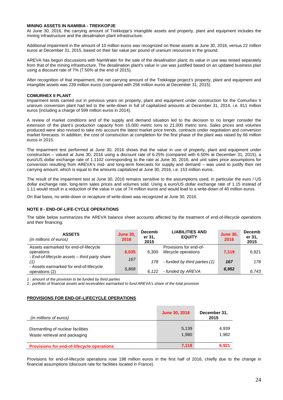#### **MINING ASSETS IN NAMIBIA - TREKKOPJE**

At June 30, 2016, the carrying amount of Trekkopje's intangible assets and property, plant and equipment includes the mining infrastructure and the desalination plant infrastructure.

Additional impairment in the amount of 10 million euros was recognized on those assets at June 30, 2016, versus 22 million euros at December 31, 2015, based on their fair value per pound of uranium resources in the ground.

AREVA has begun discussions with NamWater for the sale of the desalination plant; its value in use was tested separately from that of the mining infrastructure. The desalination plant's value in use was justified based on an updated business plan using a discount rate of 7% (7.50% at the end of 2015).

After recognition of that impairment, the net carrying amount of the Trekkopje project's property, plant and equipment and intangible assets was 239 million euros (compared with 256 million euros at December 31, 2015).

#### **COMURHEX II PLANT**

Impairment tests carried out in previous years on property, plant and equipment under construction for the Comurhex II uranium conversion plant had led to the write-down in full of capitalized amounts at December 31, 2014, i.e. 811 million euros (including a charge of 599 million euros in 2014).

A review of market conditions and of the supply and demand situation led to the decision to no longer consider the extension of the plant's production capacity from 15,000 metric tons to 21,000 metric tons. Sales prices and volumes produced were also revised to take into account the latest market price trends, contracts under negotiation and conversion market forecasts. In addition, the cost of construction at completion for the first phase of the plant was raised by 66 million euros in 2015.

The impairment test performed at June 30, 2016 shows that the value in use of property, plant and equipment under construction – valued at June 30, 2016 using a discount rate of 6.25% (compared with 6.50% at December 31, 2015), a euro/US dollar exchange rate of 1.1102 corresponding to the rate at June 30, 2016, and unit sales price assumptions for conversion resulting from AREVA's mid- and long-term forecasts for supply and demand – was used to justify their net carrying amount, which is equal to the amounts capitalized at June 30, 2016, i.e. 153 million euros.

The result of the impairment test at June 30, 2016 remains sensitive to the assumptions used, in particular the euro / US dollar exchange rate, long-term sales prices and volumes sold. Using a euro/US dollar exchange rate of 1.15 instead of 1.11 would result in a reduction of the value in use of 74 million euros and would lead to a write-down of 40 million euros.

On that basis, no write-down or recapture of write-down was recognized at June 30, 2016.

#### **NOTE 8 - END-OF-LIFE-CYCLE OPERATIONS**

The table below summarizes the AREVA balance sheet accounts affected by the treatment of end-of-lifecycle operations and their financing.

| <b>ASSETS</b><br>(in millions of euros)                   | <b>June 30,</b><br>2016 | <b>Decemb</b><br>er 31,<br>2015 | <b>LIABILITIES AND</b><br><b>EQUITY</b>        | <b>June 30,</b><br>2016 | <b>Decemb</b><br>er 31,<br>2015 |
|-----------------------------------------------------------|-------------------------|---------------------------------|------------------------------------------------|-------------------------|---------------------------------|
| Assets earmarked for end-of-lifecycle<br>operations       | 6,035                   | 6.300                           | Provisions for end-of-<br>lifecycle operations | 7,119                   | 6,921                           |
| - End-of-lifecycle assets - third party share<br>(1)      | 167                     | 178                             | - funded by third parties (1)                  | 167                     | 178                             |
| - Assets earmarked for end-of-lifecycle<br>operations (2) | 5,868                   | 6.122                           | - funded by AREVA                              | 6,952                   | 6.743                           |

1 : amount of the provision to be funded by third parties

2 : portfolio of financial assets and receivables earmarked to fund AREVA's share of the total provision

#### **PROVISIONS FOR END-OF-LIFECYCLE OPERATIONS**

| (in millions of euros)                                             | <b>June 30, 2016</b> | December 31,<br>2015 |
|--------------------------------------------------------------------|----------------------|----------------------|
| Dismantling of nuclear facilities<br>Waste retrieval and packaging | 5,139<br>1,980       | 4,939<br>1,982       |
| <b>Provisions for end-of-lifecycle operations</b>                  | 7,119                | 6,921                |

Provisions for end-of-lifecycle operations rose 198 million euros in the first half of 2016, chiefly due to the change in financial assumptions (discount rate for facilities located in France).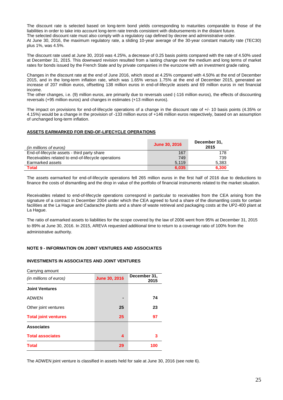The discount rate is selected based on long-term bond yields corresponding to maturities comparable to those of the liabilities in order to take into account long-term rate trends consistent with disbursements in the distant future. The selected discount rate must also comply with a regulatory cap defined by decree and administrative order. At June 30, 2016, the maximum regulatory rate, a sliding 10-year average of the 30-year constant maturity rate (TEC30) plus 1%, was 4.5%.

The discount rate used at June 30, 2016 was 4.25%, a decrease of 0.25 basis points compared with the rate of 4.50% used at December 31, 2015. This downward revision resulted from a lasting change over the medium and long terms of market rates for bonds issued by the French State and by private companies in the eurozone with an investment grade rating.

Changes in the discount rate at the end of June 2016, which stood at 4.25% compared with 4.50% at the end of December 2015, and in the long-term inflation rate, which was 1.65% versus 1.75% at the end of December 2015, generated an increase of 207 million euros, offsetting 138 million euros in end-of-lifecycle assets and 69 million euros in net financial income.

The other changes, i.e. (9) million euros, are primarily due to reversals used (-116 million euros), the effects of discounting reversals (+95 million euros) and changes in estimates (+13 million euros).

The impact on provisions for end-of-lifecycle operations of a change in the discount rate of +/- 10 basis points (4.35% or 4.15%) would be a change in the provision of -133 million euros of +146 million euros respectively, based on an assumption of unchanged long-term inflation.

#### **ASSETS EARMARKED FOR END-OF-LIFECYCLE OPERATIONS**

| (in millions of euros)                             | June 30, 2016 | December 31,<br>2015 |
|----------------------------------------------------|---------------|----------------------|
| End-of-lifecycle assets - third party share        | 167           | 178                  |
| Receivables related to end-of-lifecycle operations | 749           | 739                  |
| Earmarked assets                                   | 5.119         | 5,383                |
| <b>Total</b>                                       | 6,035         | 6,300                |

The assets earmarked for end-of-lifecycle operations fell 265 million euros in the first half of 2016 due to deductions to finance the costs of dismantling and the drop in value of the portfolio of financial instruments related to the market situation.

Receivables related to end-of-lifecycle operations correspond in particular to receivables from the CEA arising from the signature of a contract in December 2004 under which the CEA agreed to fund a share of the dismantling costs for certain facilities at the La Hague and Cadarache plants and a share of waste retrieval and packaging costs at the UP2-400 plant at La Hague.

The ratio of earmarked assets to liabilities for the scope covered by the law of 2006 went from 95% at December 31, 2015 to 89% at June 30, 2016. In 2015, AREVA requested additional time to return to a coverage ratio of 100% from the administrative authority.

#### **NOTE 9 - INFORMATION ON JOINT VENTURES AND ASSOCIATES**

#### **INVESTMENTS IN ASSOCIATES AND JOINT VENTURES**

| (in millions of euros)      | <b>June 30, 2016</b> | December 31,<br>2015 |  |  |
|-----------------------------|----------------------|----------------------|--|--|
| <b>Joint Ventures</b>       |                      |                      |  |  |
| <b>ADWEN</b>                |                      | 74                   |  |  |
| Other joint ventures        | 25                   | 23                   |  |  |
| <b>Total joint ventures</b> | 25                   | 97                   |  |  |
| <b>Associates</b>           |                      |                      |  |  |
| <b>Total associates</b>     | 4                    | 3                    |  |  |
| <b>Total</b>                | 29                   | 100                  |  |  |

The ADWEN joint venture is classified in assets held for sale at June 30, 2016 (see note 6).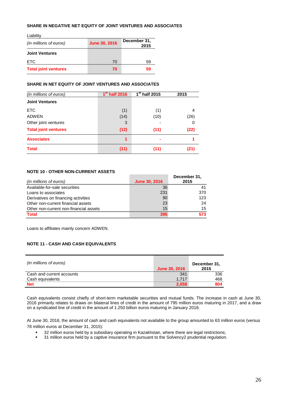#### **SHARE IN NEGATIVE NET EQUITY OF JOINT VENTURES AND ASSOCIATES**

| Liability                   |                      |                      |
|-----------------------------|----------------------|----------------------|
| (in millions of euros)      | <b>June 30, 2016</b> | December 31,<br>2015 |
| <b>Joint Ventures</b>       |                      |                      |
| <b>ETC</b>                  | 70                   | 59                   |
| <b>Total joint ventures</b> | 70                   | 59                   |

#### **SHARE IN NET EQUITY OF JOINT VENTURES AND ASSOCIATES**

| (in millions of euros)      | 1 <sup>st</sup> half 2016 | $1st$ half 2015 | 2015 |
|-----------------------------|---------------------------|-----------------|------|
| <b>Joint Ventures</b>       |                           |                 |      |
| <b>ETC</b>                  | (1)                       | (1)             | 4    |
| <b>ADWEN</b>                | (14)                      | (10)            | (26) |
| Other joint ventures        | 3                         |                 | 0    |
| <b>Total joint ventures</b> | (12)                      | (11)            | (22) |
| <b>Associates</b>           | 1                         |                 |      |
| <b>Total</b>                | (11)                      | (11)            | (21) |

#### **NOTE 10 - OTHER NON-CURRENT ASSETS**

|                                        |                      | December 31, |
|----------------------------------------|----------------------|--------------|
| (in millions of euros)                 | <b>June 30, 2016</b> | 2015         |
| Available-for-sale securities          | 36                   | 41           |
| Loans to associates                    | 231                  | 370          |
| Derivatives on financing activities    | 90                   | 123          |
| Other non-current financial assets     | 23                   | 24           |
| Other non-current non-financial assets | 15                   | 15           |
| <b>Total</b>                           | 395                  | 573          |

Loans to affiliates mainly concern ADWEN.

#### **NOTE 11 - CASH AND CASH EQUIVALENTS**

| (in millions of euros)    | <b>June 30, 2016</b> | December 31,<br>2015 |
|---------------------------|----------------------|----------------------|
| Cash and current accounts | 341                  | 336                  |
| Cash equivalents          | 1.717                | 468                  |
| <b>Net</b>                | 2,058                | 804                  |

Cash equivalents consist chiefly of short-term marketable securities and mutual funds. The increase in cash at June 30, 2016 primarily relates to draws on bilateral lines of credit in the amount of 795 million euros maturing in 2017, and a draw on a syndicated line of credit in the amount of 1.250 billion euros maturing in January 2018.

At June 30, 2016, the amount of cash and cash equivalents not available to the group amounted to 63 million euros (versus 78 million euros at December 31, 2015):

- <sup>32</sup> million euros held by a subsidiary operating in Kazakhstan, where there are legal restrictions;<br><sup>34</sup> million ouros held by a contive incurance firm pursuant to the Selvency? prudential regulation
- 31 million euros held by a captive insurance firm pursuant to the Solvency2 prudential regulation.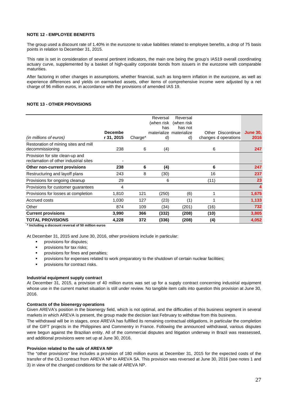#### **NOTE 12 - EMPLOYEE BENEFITS**

The group used a discount rate of 1.40% in the eurozone to value liabilities related to employee benefits, a drop of 75 basis points in relation to December 31, 2015.

This rate is set in consideration of several pertinent indicators, the main one being the group's IAS19 overall coordinating actuary curve, supplemented by a basket of high-quality corporate bonds from issuers in the eurozone with comparable maturities.

After factoring in other changes in assumptions, whether financial, such as long-term inflation in the eurozone, as well as experience differences and yields on earmarked assets, other items of comprehensive income were adjusted by a net charge of 96 million euros, in accordance with the provisions of amended IAS 19.

#### **NOTE 13 - OTHER PROVISIONS**

|                                                                          |                |         | Reversal<br>(when risk | Reversal<br>(when risk)            |                      |                 |
|--------------------------------------------------------------------------|----------------|---------|------------------------|------------------------------------|----------------------|-----------------|
|                                                                          | <b>Decembe</b> |         | has                    | has not<br>materialize materialize | Other Discontinue    | <b>June 30,</b> |
| (in millions of euros)                                                   | r 31, 2015     | Charge* | d)                     | d)                                 | changes d operations | 2016            |
| Restoration of mining sites and mill<br>decommissioning                  | 238            | 6       | (4)                    |                                    | 6                    | 247             |
| Provision for site clean-up and<br>reclamation of other industrial sites |                |         |                        |                                    |                      |                 |
| Other non-current provisions                                             | 238            | 6       | (4)                    |                                    | 6                    | 247             |
| Restructuring and layoff plans                                           | 243            | 8       | (30)                   |                                    | 16                   | 237             |
| Provisions for ongoing cleanup                                           | 29             |         | 6                      |                                    | (11)                 | 23              |
| Provisions for customer guarantees                                       | 4              |         |                        |                                    |                      | 4               |
| Provisions for losses at completion                                      | 1,810          | 121     | (250)                  | (6)                                |                      | 1,675           |
| Accrued costs                                                            | 1,030          | 127     | (23)                   | (1)                                |                      | 1,133           |
| Other                                                                    | 874            | 109     | (34)                   | (201)                              | (16)                 | 732             |
| <b>Current provisions</b>                                                | 3,990          | 366     | (332)                  | (208)                              | (10)                 | 3,805           |
| <b>TOTAL PROVISIONS</b>                                                  | 4,228          | 372     | (336)                  | (208)                              | (4)                  | 4,052           |

**\* Including a discount reversal of 50 million euros**

At December 31, 2015 and June 30, 2016, other provisions include in particular:

- provisions for disputes;
- provisions for tax risks;
- **•** provisions for fines and penalties;
- provisions for expenses related to work preparatory to the shutdown of certain nuclear facilities;
- provisions for contract risks.

#### **Industrial equipment supply contract**

At December 31, 2015, a provision of 40 million euros was set up for a supply contract concerning industrial equipment whose use in the current market situation is still under review. No tangible item calls into question this provision at June 30, 2016.

#### **Contracts of the bioenergy operations**

Given AREVA's position in the bioenergy field, which is not optimal, and the difficulties of this business segment in several markets in which AREVA is present, the group made the decision last February to withdraw from this business.

The withdrawal will be in stages, once AREVA has fulfilled its remaining contractual obligations, in particular the completion of the GIFT projects in the Philippines and Commentry in France. Following the announced withdrawal, various disputes were begun against the Brazilian entity. All of the commercial disputes and litigation underway in Brazil was reassessed, and additional provisions were set up at June 30, 2016.

#### **Provision related to the sale of AREVA NP**

The "other provisions" line includes a provision of 180 million euros at December 31, 2015 for the expected costs of the transfer of the OL3 contract from AREVA NP to AREVA SA. This provision was reversed at June 30, 2016 (see notes 1 and 3) in view of the changed conditions for the sale of AREVA NP.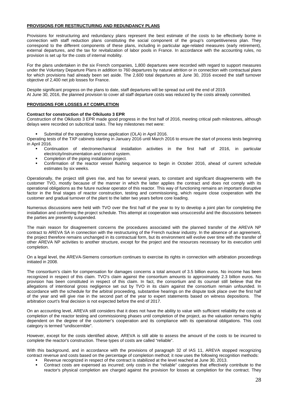#### **PROVISIONS FOR RESTRUCTURING AND REDUNDANCY PLANS**

Provisions for restructuring and redundancy plans represent the best estimate of the costs to be effectively borne in connection with staff reduction plans constituting the social component of the group's competitiveness plan. They correspond to the different components of these plans, including in particular age-related measures (early retirement), external departures, and the tax for revitalization of labor pools in France. In accordance with the accounting rules, no provision is set up for the costs of internal mobility.

For the plans undertaken in the six French companies, 1,800 departures were recorded with regard to support measures under the Voluntary Departure Plans in addition to 760 departures by natural attrition or in connection with contractual plans for which provisions had already been set aside. The 2,600 total departures at June 30, 2016 exceed the staff turnover objective of 2,400 net job losses for France.

Despite significant progress on the plans to date, staff departures will be spread out until the end of 2019. At June 30, 2016, the planned provision to cover all staff departure costs was reduced by the costs already committed.

#### **PROVISIONS FOR LOSSES AT COMPLETION**

#### **Contract for construction of the Olkiluoto 3 EPR**

Construction of the Olkiluoto 3 EPR made good progress in the first half of 2016, meeting critical path milestones, although delays were recorded on subcritical tasks. The key milestones met were:

Submittal of the operating license application (OLA) in April 2016.

Operating tests of the TXP cabinets starting in January 2016 until March 2016 to ensure the start of process tests beginning in April 2016.

- Continuation of electromechanical installation activities in the first half of 2016, in particular electricity/instrumentation and control system.
- Completion of the piping installation project.
- Confirmation of the reactor vessel flushing sequence to begin in October 2016, ahead of current schedule estimates by six weeks.

Operationally, the project still gives rise, and has for several years, to constant and significant disagreements with the customer TVO, mostly because of the manner in which the latter applies the contract and does not comply with its operational obligations as the future nuclear operator of this reactor. This way of functioning remains an important disruptive factor in the final stages of reactor construction, testing and commissioning, which require close cooperation with the customer and gradual turnover of the plant to the latter two years before core loading.

Numerous discussions were held with TVO over the first half of the year to try to develop a joint plan for completing the installation and confirming the project schedule. This attempt at cooperation was unsuccessful and the discussions between the parties are presently suspended.

The main reason for disagreement concerns the procedures associated with the planned transfer of the AREVA NP contract to AREVA SA in connection with the restructuring of the French nuclear industry. In the absence of an agreement, the project therefore remains unchanged in its contractual form, but its environment will evolve over time with the transfer of other AREVA NP activities to another structure, except for the project and the resources necessary for its execution until completion.

On a legal level, the AREVA-Siemens consortium continues to exercise its rights in connection with arbitration proceedings initiated in 2008.

The consortium's claim for compensation for damages concerns a total amount of 3.5 billion euros. No income has been recognized in respect of this claim. TVO's claim against the consortium amounts to approximately 2.3 billion euros. No provision has been constituted in respect of this claim. In fact, the consortium and its counsel still believe that the allegations of intentional gross negligence set out by TVO in its claim against the consortium remain unfounded. In accordance with the schedule for the arbitral proceeding, substantive hearings on the dispute took place over the first half of the year and will give rise in the second part of the year to expert statements based on witness depositions. The arbitration court's final decision is not expected before the end of 2017.

On an accounting level, AREVA still considers that it does not have the ability to value with sufficient reliability the costs at completion of the reactor testing and commissioning phases until completion of the project, as the valuation remains highly dependent on the degree of the customer's cooperation and its compliance with its operational obligations. This cost category is termed "undiscernible".

However, except for the costs identified above, AREVA is still able to assess the amount of the costs to be incurred to complete the reactor's construction. These types of costs are called "reliable".

With this background, and in accordance with the provisions of paragraph 32 of IAS 11, AREVA stopped recognizing contract revenue and costs based on the percentage of completion method; it now uses the following recognition methods:

- Revenue recognized in respect of the contract is stabilized at the level reached at June 30, 2013.
- Contract costs are expensed as incurred; only costs in the "reliable" categories that effectively contribute to the reactor's physical completion are charged against the provision for losses at completion for the contract. They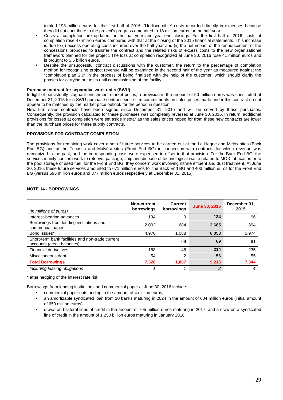totaled 198 million euros for the first half of 2016. "Undiscernible" costs recorded directly in expenses because they did not contribute to the project's progress amounted to 18 million euros for the half-year.

- Costs at completion are updated for the half-year and year-end closings. For the first half of 2016, costs at completion rose 47 million euros compared with that at the closing of the 2015 financial statements. This increase is due to (i) excess operating costs incurred over the half-year and (ii) the net impact of the renouncement of the concessions proposed to transfer the contract and the related risks of excess costs to the new organizational framework planned for the project. The loss at completion recognized at June 30, 2016 rose 41 million euros and is brought to 5.5 billion euros.
- Despite the unsuccessful contract discussions with the customer, the return to the percentage of completion method for recognizing project revenue will be examined in the second half of the year as measured against the "completion plan 2.0" in the process of being finalized with the help of the customer, which should clarify the phases for carrying out tests until commissioning of the facility.

#### **Purchase contract for separative work units (SWU)**

In light of persistently stagnant enrichment market prices, a provision in the amount of 50 million euros was constituted at December 31, 2015 for a SWU purchase contract, since firm commitments on sales prices made under this contract do not appear to be matched by the market price outlook for the period in question.

New firm sales contracts have been signed since December 31, 2015 and will be served by these purchases. Consequently, the provision calculated for these purchases was completely reversed at June 30, 2016. In return, additional provisions for losses at completion were set aside insofar as the sales prices hoped for from these new contracts are lower than the purchase prices for these supply contracts.

#### **PROVISIONS FOR CONTRACT COMPLETION**

The provisions for remaining work cover a set of future services to be carried out at the La Hague and Melox sites (Back End BG) and at the Tricastin and Malvési sites (Front End BG) in connection with contracts for which revenue was recognized in the past, and the corresponding costs were expensed in offset to that provision. For the Back End BG, the services mainly concern work to retrieve, package, ship and dispose of technological waste related to MOX fabrication or to the pool storage of used fuel; for the Front End BG, they concern work involving nitrate effluent and dust treatment. At June 30, 2016, these future services amounted to 671 million euros for the Back End BG and 403 million euros for the Front End BG (versus 595 million euros and 377 million euros respectively at December 31, 2015).

#### **NOTE 14 - BORROWINGS**

| (in millions of euros)                                                         | <b>Non-current</b><br>borrowings | <b>Current</b><br>borrowings | <b>June 30, 2016</b> | December 31,<br>2015 |
|--------------------------------------------------------------------------------|----------------------------------|------------------------------|----------------------|----------------------|
| Interest-bearing advances                                                      | 134                              | 0                            | 134                  | 96                   |
| Borrowings from lending institutions and<br>commercial paper                   | 2,002                            | 684                          | 2,685                | 894                  |
| Bond issues*                                                                   | 4.970                            | 1.088                        | 6,058                | 5,974                |
| Short-term bank facilities and non-trade current<br>accounts (credit balances) |                                  | 69                           | 69                   | 91                   |
| <b>Financial derivatives</b>                                                   | 168                              | 46                           | 214                  | 235                  |
| Miscellaneous debt                                                             | 54                               | 2                            | 56                   | 55                   |
| <b>Total Borrowings</b>                                                        | 7,328                            | 1,887                        | 9,215                | 7,344                |
| Including leasing obligations                                                  |                                  |                              | $\overline{c}$       | 4                    |

\* after hedging of the interest rate risk

Borrowings from lending institutions and commercial paper at June 30, 2016 include:

- commercial paper outstanding in the amount of 4 million euros;
- an amortizable syndicated loan from 10 banks maturing in 2024 in the amount of 604 million euros (initial amount of 650 million euros).
- draws on bilateral lines of credit in the amount of 795 million euros maturing in 2017, and a draw on a syndicated line of credit in the amount of 1.250 billion euros maturing in January 2018.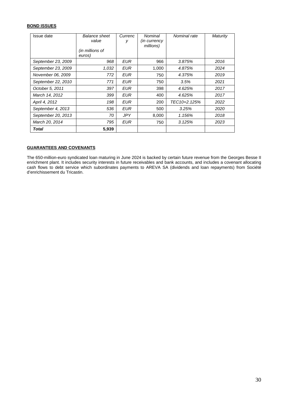#### **BOND ISSUES**

| Issue date         | Balance sheet<br>value<br>(in millions of<br>euros) | Currenc<br>У | Nominal<br>(in currency<br>millions) | Nominal rate | Maturity |
|--------------------|-----------------------------------------------------|--------------|--------------------------------------|--------------|----------|
| September 23, 2009 | 968                                                 | EUR          | 966                                  | 3.875%       | 2016     |
| September 23, 2009 | 1,032                                               | EUR          | 1,000                                | 4.875%       | 2024     |
| November 06, 2009  | 772                                                 | EUR          | 750                                  | 4.375%       | 2019     |
| September 22, 2010 | 771                                                 | EUR          | 750                                  | 3.5%         | 2021     |
| October 5, 2011    | 397                                                 | EUR          | 398                                  | 4.625%       | 2017     |
| March 14, 2012     | 399                                                 | EUR          | 400                                  | 4.625%       | 2017     |
| April 4, 2012      | 198                                                 | EUR          | 200                                  | TEC10+2.125% | 2022     |
| September 4, 2013  | 536                                                 | EUR          | 500                                  | 3.25%        | 2020     |
| September 20, 2013 | 70                                                  | <b>JPY</b>   | 8,000                                | 1.156%       | 2018     |
| March 20, 2014     | 795                                                 | <b>EUR</b>   | 750                                  | 3.125%       | 2023     |
| Total              | 5,939                                               |              |                                      |              |          |

#### **GUARANTEES AND COVENANTS**

The 650-million-euro syndicated loan maturing in June 2024 is backed by certain future revenue from the Georges Besse II enrichment plant. It includes security interests in future receivables and bank accounts, and includes a covenant allocating cash flows to debt service which subordinates payments to AREVA SA (dividends and loan repayments) from Société d'enrichissement du Tricastin.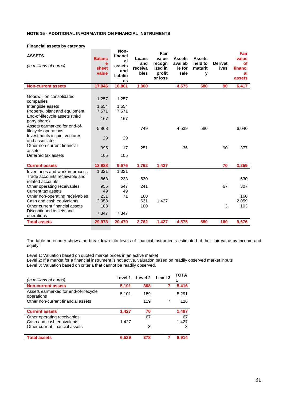#### **NOTE 15 - ADDITIONAL INFORMATION ON FINANCIAL INSTRUMENTS**

#### **Financial assets by category**

| <b>ASSETS</b><br>(in millions of euros)                                                     | <b>Balanc</b><br>e<br>sheet<br>value | Non-<br>financi<br>al<br>assets<br>and<br>liabiliti<br>es | Loans<br>and<br>receiva<br>bles | Fair<br>value<br>recogn<br>ized in<br>profit<br>or loss | <b>Assets</b><br>availab<br>le for<br>sale | <b>Assets</b><br>held to<br>maturit<br>у | <b>Derivat</b><br>ives | Fair<br>value<br><b>of</b><br>financi<br>al<br>assets |
|---------------------------------------------------------------------------------------------|--------------------------------------|-----------------------------------------------------------|---------------------------------|---------------------------------------------------------|--------------------------------------------|------------------------------------------|------------------------|-------------------------------------------------------|
| <b>Non-current assets</b>                                                                   | 17,046                               | 10,801                                                    | 1,000                           |                                                         | 4,575                                      | 580                                      | 90                     | 6,417                                                 |
| Goodwill on consolidated<br>companies<br>Intangible assets<br>Property, plant and equipment | 1,257<br>1,654<br>7,571              | 1,257<br>1,654<br>7,571                                   |                                 |                                                         |                                            |                                          |                        |                                                       |
| End-of-lifecycle assets (third                                                              | 167                                  | 167                                                       |                                 |                                                         |                                            |                                          |                        |                                                       |
| party share)<br>Assets earmarked for end-of-<br>lifecycle operations                        | 5,868                                |                                                           | 749                             |                                                         | 4,539                                      | 580                                      |                        | 6,040                                                 |
| Investments in joint ventures<br>and associates                                             | 29                                   | 29                                                        |                                 |                                                         |                                            |                                          |                        |                                                       |
| Other non-current financial<br>assets<br>Deferred tax assets                                | 395<br>105                           | 17<br>105                                                 | 251                             |                                                         | 36                                         |                                          | 90                     | 377                                                   |
| <b>Current assets</b>                                                                       | 12,928                               | 9,676                                                     | 1,762                           | 1,427                                                   |                                            |                                          | 70                     | 3,259                                                 |
| Inventories and work-in-process                                                             | 1,321                                | 1,321                                                     |                                 |                                                         |                                            |                                          |                        |                                                       |
| Trade accounts receivable and<br>related accounts                                           | 863                                  | 233                                                       | 630                             |                                                         |                                            |                                          |                        | 630                                                   |
| Other operating receivables                                                                 | 955                                  | 647                                                       | 241                             |                                                         |                                            |                                          | 67                     | 307                                                   |
| Current tax assets                                                                          | 49<br>231                            | 49<br>71                                                  | 160                             |                                                         |                                            |                                          |                        | 160                                                   |
| Other non-operating receivables<br>Cash and cash equivalents                                | 2,058                                |                                                           | 631                             | 1,427                                                   |                                            |                                          |                        | 2,059                                                 |
| Other current financial assets                                                              | 103                                  |                                                           | 100                             |                                                         |                                            |                                          | 3                      | 103                                                   |
| Discontinued assets and<br>operations                                                       | 7,347                                | 7,347                                                     |                                 |                                                         |                                            |                                          |                        |                                                       |
| <b>Total assets</b>                                                                         | 29,973                               | 20,470                                                    | 2,762                           | 1,427                                                   | 4,575                                      | 580                                      | 160                    | 9,676                                                 |
|                                                                                             |                                      |                                                           |                                 |                                                         |                                            |                                          |                        |                                                       |

The table hereunder shows the breakdown into levels of financial instruments estimated at their fair value by income and equity:

Level 1: Valuation based on quoted market prices in an active market

Level 2: If a market for a financial instrument is not active, valuation based on readily observed market inputs

Level 3: Valuation based on criteria that cannot be readily observed.

| (in millions of euros)                              | Level 1 | Level 2 | Level 3 | ΤΟΤΑ  |
|-----------------------------------------------------|---------|---------|---------|-------|
| <b>Non-current assets</b>                           | 5,101   | 308     |         | 5,416 |
| Assets earmarked for end-of-lifecycle<br>operations | 5,101   | 189     |         | 5,291 |
| Other non-current financial assets                  |         | 119     |         | 126   |
| <b>Current assets</b>                               | 1,427   | 70      |         | 1,497 |
| Other operating receivables                         |         | 67      |         | 67    |
| Cash and cash equivalents                           | 1,427   |         |         | 1.427 |
| Other current financial assets                      |         | 3       |         |       |
| <b>Total assets</b>                                 | 6.529   | 378     |         | 6.914 |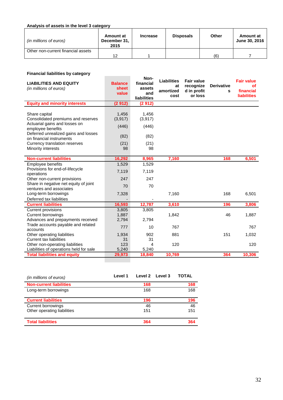#### **Analysis of assets in the level 3 category**

| (in millions of euros)             | Amount at<br>December 31,<br>2015 | <b>Increase</b> | <b>Disposals</b> | Other | Amount at<br><b>June 30, 2016</b> |
|------------------------------------|-----------------------------------|-----------------|------------------|-------|-----------------------------------|
| Other non-current financial assets |                                   |                 |                  |       |                                   |
|                                    | 12                                |                 |                  | (6)   |                                   |

÷.

i.

#### **Financial liabilities by category**

| <b>LIABILITIES AND EQUITY</b><br>(in millions of euros)                                                   | <b>Balance</b><br>sheet<br>value | Non-<br>financial<br>assets<br>and<br>liabilities | <b>Liabilities</b><br>at<br>amortized<br>cost | <b>Fair value</b><br>recognize<br>d in profit<br>or loss | <b>Derivative</b><br>s | <b>Fair value</b><br>оf<br>financial<br><b>liabilities</b> |
|-----------------------------------------------------------------------------------------------------------|----------------------------------|---------------------------------------------------|-----------------------------------------------|----------------------------------------------------------|------------------------|------------------------------------------------------------|
| <b>Equity and minority interests</b>                                                                      | (2912)                           | (2912)                                            |                                               |                                                          |                        |                                                            |
| Share capital<br>Consolidated premiums and reserves<br>Actuarial gains and losses on<br>employee benefits | 1,456<br>(3,917)<br>(446)        | 1,456<br>(3,917)<br>(446)                         |                                               |                                                          |                        |                                                            |
| Deferred unrealized gains and losses<br>on financial instruments                                          | (82)                             | (82)                                              |                                               |                                                          |                        |                                                            |
| Currency translation reserves<br>Minority interests                                                       | (21)<br>98                       | (21)<br>98                                        |                                               |                                                          |                        |                                                            |
| <b>Non-current liabilities</b>                                                                            | 16,292                           | 8,965                                             | 7,160                                         |                                                          | 168                    | 6,501                                                      |
| Employee benefits                                                                                         | 1,529                            | 1,529                                             |                                               |                                                          |                        |                                                            |
| Provisions for end-of-lifecycle<br>operations                                                             | 7,119                            | 7,119                                             |                                               |                                                          |                        |                                                            |
| Other non-current provisions                                                                              | 247                              | 247                                               |                                               |                                                          |                        |                                                            |
| Share in negative net equity of joint<br>ventures and associates                                          | 70                               | 70                                                |                                               |                                                          |                        |                                                            |
| Long-term borrowings                                                                                      | 7,328                            |                                                   | 7,160                                         |                                                          | 168                    | 6,501                                                      |
| Deferred tax liabilities                                                                                  |                                  |                                                   |                                               |                                                          |                        |                                                            |
| <b>Current liabilities</b>                                                                                | 16,593                           | 12,787                                            | 3,610                                         |                                                          | 196                    | 3,806                                                      |
| Current provisions                                                                                        | 3,805                            | 3,805                                             |                                               |                                                          |                        |                                                            |
| <b>Current borrowings</b><br>Advances and prepayments received                                            | 1,887<br>2,794                   | 2,794                                             | 1,842                                         |                                                          | 46                     | 1,887                                                      |
| Trade accounts payable and related<br>accounts                                                            | 777                              | 10                                                | 767                                           |                                                          |                        | 767                                                        |
| Other operating liabilities                                                                               | 1,934                            | 902                                               | 881                                           |                                                          | 151                    | 1,032                                                      |
| <b>Current tax liabilities</b>                                                                            | 31                               | 31                                                |                                               |                                                          |                        |                                                            |
| Other non-operating liabilities                                                                           | 123                              | 4                                                 | 120                                           |                                                          |                        | 120                                                        |
| Liabilities of operations held for sale                                                                   | 5,240                            | 5,240                                             |                                               |                                                          |                        |                                                            |
| <b>Total liabilities and equity</b>                                                                       | 29,973                           | 18,840                                            | 10,769                                        |                                                          | 364                    | 10,306                                                     |
|                                                                                                           |                                  |                                                   |                                               |                                                          |                        |                                                            |

| (in millions of euros)         | Level 1 | Level 2 Level 3 | <b>TOTAL</b> |
|--------------------------------|---------|-----------------|--------------|
| <b>Non-current liabilities</b> | 168     |                 | 168          |
| Long-term borrowings           | 168     |                 | 168          |
| <b>Current liabilities</b>     | 196     |                 | 196          |
| <b>Current borrowings</b>      | 46      |                 | 46           |
| Other operating liabilities    | 151     |                 | 151          |
| <b>Total liabilities</b>       | 364     |                 | 364          |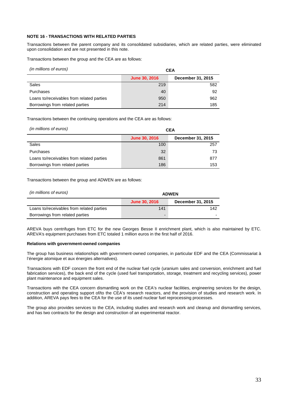#### **NOTE 16 - TRANSACTIONS WITH RELATED PARTIES**

Transactions between the parent company and its consolidated subsidiaries, which are related parties, were eliminated upon consolidation and are not presented in this note.

Transactions between the group and the CEA are as follows:

| (in millions of euros)                    | <b>CEA</b>           |                   |
|-------------------------------------------|----------------------|-------------------|
|                                           | <b>June 30, 2016</b> | December 31, 2015 |
| Sales                                     | 219                  | 582               |
| Purchases                                 | 40                   | 92                |
| Loans to/receivables from related parties | 950                  | 962               |
| Borrowings from related parties           | 214                  | 185               |

Transactions between the continuing operations and the CEA are as follows:

| (in millions of euros)                    | <b>CEA</b>    |                   |  |
|-------------------------------------------|---------------|-------------------|--|
|                                           | June 30, 2016 | December 31, 2015 |  |
| Sales                                     | 100           | 257               |  |
| Purchases                                 | 32            | 73                |  |
| Loans to/receivables from related parties | 861           | 877               |  |
| Borrowings from related parties           | 186           | 153               |  |

Transactions between the group and ADWEN are as follows:

| (in millions of euros)                    | <b>ADWEN</b>  |                   |  |
|-------------------------------------------|---------------|-------------------|--|
|                                           | June 30, 2016 | December 31, 2015 |  |
| Loans to/receivables from related parties | 141           | 142               |  |
| Borrowings from related parties           | -             |                   |  |

AREVA buys centrifuges from ETC for the new Georges Besse II enrichment plant, which is also maintained by ETC. AREVA's equipment purchases from ETC totaled 1 million euros in the first half of 2016.

#### **Relations with government-owned companies**

The group has business relationships with government-owned companies, in particular EDF and the CEA (Commissariat à l'énergie atomique et aux énergies alternatives).

Transactions with EDF concern the front end of the nuclear fuel cycle (uranium sales and conversion, enrichment and fuel fabrication services), the back end of the cycle (used fuel transportation, storage, treatment and recycling services), power plant maintenance and equipment sales.

Transactions with the CEA concern dismantling work on the CEA's nuclear facilities, engineering services for the design, construction and operating support of/to the CEA's research reactors, and the provision of studies and research work. In addition, AREVA pays fees to the CEA for the use of its used nuclear fuel reprocessing processes.

The group also provides services to the CEA, including studies and research work and cleanup and dismantling services, and has two contracts for the design and construction of an experimental reactor.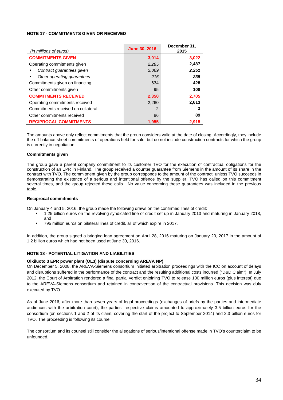#### **NOTE 17 - COMMITMENTS GIVEN OR RECEIVED**

| (in millions of euros)             | <b>June 30, 2016</b> | December 31,<br>2015 |
|------------------------------------|----------------------|----------------------|
| <b>COMMITMENTS GIVEN</b>           | 3,014                | 3,022                |
| Operating commitments given        | 2,285                | 2,487                |
| Contract guarantees given          | 2,069                | 2,251                |
| Other operating guarantees         | 216                  | 235                  |
| Commitments given on financing     | 634                  | 428                  |
| Other commitments given            | 95                   | 108                  |
| <b>COMMITMENTS RECEIVED</b>        | 2,350                | 2,705                |
| Operating commitments received     | 2,260                | 2,613                |
| Commitments received on collateral | 2                    | 3                    |
| Other commitments received         | 86                   | 89                   |
| <b>RECIPROCAL COMMITMENTS</b>      | 1,955                | 2,915                |

The amounts above only reflect commitments that the group considers valid at the date of closing. Accordingly, they include the off-balance-sheet commitments of operations held for sale, but do not include construction contracts for which the group is currently in negotiation.

#### **Commitments given**

The group gave a parent company commitment to its customer TVO for the execution of contractual obligations for the construction of an EPR in Finland. The group received a counter guarantee from Siemens in the amount of its share in the contract with TVO. The commitment given by the group corresponds to the amount of the contract, unless TVO succeeds in demonstrating the existence of a serious and intentional offence by the supplier. TVO has called on this commitment several times, and the group rejected these calls. No value concerning these guarantees was included in the previous table.

#### **Reciprocal commitments**

On January 4 and 5, 2016, the group made the following draws on the confirmed lines of credit:

- 1.25 billion euros on the revolving syndicated line of credit set up in January 2013 and maturing in January 2018, and
- 795 million euros on bilateral lines of credit, all of which expire in 2017.

In addition, the group signed a bridging loan agreement on April 28, 2016 maturing on January 20, 2017 in the amount of 1.2 billion euros which had not been used at June 30, 2016.

#### **NOTE 18 - POTENTIAL LITIGATION AND LIABILITIES**

#### **Olkiluoto 3 EPR power plant (OL3) (dispute concerning AREVA NP)**

On December 5, 2008, the AREVA-Siemens consortium initiated arbitration proceedings with the ICC on account of delays and disruptions suffered in the performance of the contract and the resulting additional costs incurred ("D&D Claim"). In July 2012, the Court of Arbitration rendered a final partial verdict enjoining TVO to release 100 million euros (plus interest) due to the AREVA-Siemens consortium and retained in contravention of the contractual provisions. This decision was duly executed by TVO.

As of June 2016, after more than seven years of legal proceedings (exchanges of briefs by the parties and intermediate audiences with the arbitration court), the parties' respective claims amounted to approximately 3.5 billion euros for the consortium (on sections 1 and 2 of its claim, covering the start of the project to September 2014) and 2.3 billion euros for TVO. The proceeding is following its course.

The consortium and its counsel still consider the allegations of serious/intentional offense made in TVO's counterclaim to be unfounded.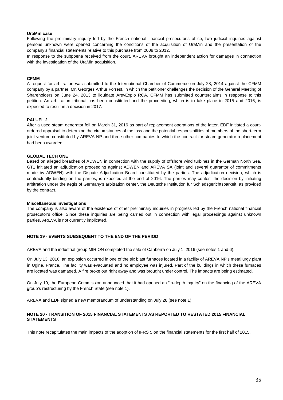#### **UraMin case**

Following the preliminary inquiry led by the French national financial prosecutor's office, two judicial inquiries against persons unknown were opened concerning the conditions of the acquisition of UraMin and the presentation of the company's financial statements relative to this purchase from 2009 to 2012.

In response to the subpoena received from the court, AREVA brought an independent action for damages in connection with the investigation of the UraMin acquisition.

#### **CFMM**

A request for arbitration was submitted to the International Chamber of Commerce on July 28, 2014 against the CFMM company by a partner, Mr. Georges Arthur Forrest, in which the petitioner challenges the decision of the General Meeting of Shareholders on June 24, 2013 to liquidate ArevExplo RCA. CFMM has submitted counterclaims in response to this petition. An arbitration tribunal has been constituted and the proceeding, which is to take place in 2015 and 2016, is expected to result in a decision in 2017.

#### **PALUEL 2**

After a used steam generator fell on March 31, 2016 as part of replacement operations of the latter, EDF initiated a courtordered appraisal to determine the circumstances of the loss and the potential responsibilities of members of the short-term joint venture constituted by AREVA NP and three other companies to which the contract for steam generator replacement had been awarded.

#### **GLOBAL TECH ONE**

Based on alleged breaches of ADWEN in connection with the supply of offshore wind turbines in the German North Sea, GT1 initiated an adjudication proceeding against ADWEN and AREVA SA (joint and several guarantor of commitments made by ADWEN) with the Dispute Adjudication Board constituted by the parties. The adjudication decision, which is contractually binding on the parties, is expected at the end of 2016. The parties may contest the decision by initiating arbitration under the aegis of Germany's arbitration center, the Deutsche Institution für Schiedsgerichtsbarkeit, as provided by the contract.

#### **Miscellaneous investigations**

The company is also aware of the existence of other preliminary inquiries in progress led by the French national financial prosecutor's office. Since these inquiries are being carried out in connection with legal proceedings against unknown parties, AREVA is not currently implicated.

#### **NOTE 19 - EVENTS SUBSEQUENT TO THE END OF THE PERIOD**

AREVA and the industrial group MIRION completed the sale of Canberra on July 1, 2016 (see notes 1 and 6).

On July 13, 2016, an explosion occurred in one of the six blast furnaces located in a facility of AREVA NP's metallurgy plant in Ugine, France. The facility was evacuated and no employee was injured. Part of the buildings in which these furnaces are located was damaged. A fire broke out right away and was brought under control. The impacts are being estimated.

On July 19, the European Commission announced that it had opened an "in-depth inquiry" on the financing of the AREVA group's restructuring by the French State (see note 1).

AREVA and EDF signed a new memorandum of understanding on July 28 (see note 1).

#### **NOTE 20 - TRANSITION OF 2015 FINANCIAL STATEMENTS AS REPORTED TO RESTATED 2015 FINANCIAL STATEMENTS**

This note recapitulates the main impacts of the adoption of IFRS 5 on the financial statements for the first half of 2015.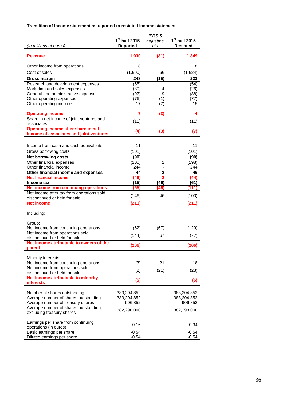#### **Transition of income statement as reported to restated income statement**

|                                                                                |                           | <b>IFRS 5</b>  |                           |
|--------------------------------------------------------------------------------|---------------------------|----------------|---------------------------|
|                                                                                | 1 <sup>st</sup> half 2015 | adjustme       | 1 <sup>st</sup> half 2015 |
| (in millions of euros)                                                         | <b>Reported</b>           | nts            | <b>Restated</b>           |
|                                                                                |                           |                |                           |
| <b>Revenue</b>                                                                 | 1,930                     | (81)           | 1,849                     |
| Other income from operations                                                   | 8                         |                | 8                         |
| Cost of sales                                                                  | (1,690)                   | 66             | (1,624)                   |
|                                                                                | 248                       | (15)           | 233                       |
| Gross margin<br>Research and development expenses                              | (55)                      | 1              | (54)                      |
| Marketing and sales expenses                                                   | (30)                      | 4              | (26)                      |
| General and administrative expenses                                            | (97)                      | 9              | (88)                      |
| Other operating expenses                                                       | (76)                      | (1)            | (77)                      |
| Other operating income                                                         | 17                        | (2)            | 15                        |
|                                                                                |                           |                |                           |
| <b>Operating income</b>                                                        | 7                         | (3)            | 4                         |
| Share in net income of joint ventures and                                      | (11)                      |                | (11)                      |
| associates                                                                     |                           |                |                           |
| Operating income after share in net<br>income of associates and joint ventures | (4)                       | (3)            | (7)                       |
|                                                                                |                           |                |                           |
|                                                                                |                           |                |                           |
| Income from cash and cash equivalents                                          | 11                        |                | 11                        |
| Gross borrowing costs                                                          | (101)                     |                | (101)                     |
| <b>Net borrowing costs</b>                                                     | (90)                      |                | (90)                      |
| Other financial expenses                                                       | (200)<br>244              | $\overline{2}$ | (198)                     |
| Other financial income<br>Other financial income and expenses                  | 44                        | $\overline{2}$ | 244<br>46                 |
| <b>Net financial income</b>                                                    | (46)                      | $\overline{2}$ | (44)                      |
| Income tax                                                                     | (15)                      | (46)           | (61)                      |
| Net income from continuing operations                                          | (65)                      | (46)           | (111)                     |
| Net income after tax from operations sold,                                     |                           |                |                           |
| discontinued or held for sale                                                  | (146)                     | 46             | (100)                     |
| <b>Net income</b>                                                              | (211)                     |                | (211)                     |
|                                                                                |                           |                |                           |
| Including:                                                                     |                           |                |                           |
| Group:                                                                         |                           |                |                           |
| Net income from continuing operations                                          | (62)                      | (67)           | (129)                     |
| Net income from operations sold,                                               |                           |                |                           |
| discontinued or held for sale                                                  | (144)                     | 67             | (77)                      |
| Net income attributable to owners of the                                       | (206)                     |                | (206)                     |
| parent                                                                         |                           |                |                           |
|                                                                                |                           |                |                           |
| Minority interests:                                                            |                           |                |                           |
| Net income from continuing operations<br>Net income from operations sold,      | (3)                       | 21             | 18                        |
| discontinued or held for sale                                                  | (2)                       | (21)           | (23)                      |
| Net income attributable to minority                                            |                           |                |                           |
| <b>interests</b>                                                               | (5)                       |                | (5)                       |
|                                                                                |                           |                |                           |
| Number of shares outstanding                                                   | 383,204,852               |                | 383,204,852               |
| Average number of shares outstanding                                           | 383,204,852               |                | 383,204,852               |
| Average number of treasury shares                                              | 906,852                   |                | 906,852                   |
| Average number of shares outstanding,                                          | 382,298,000               |                | 382,298,000               |
| excluding treasury shares                                                      |                           |                |                           |
| Earnings per share from continuing                                             |                           |                |                           |
| operations (in euros)                                                          | $-0.16$                   |                | $-0.34$                   |
| Basic earnings per share                                                       | $-0.54$                   |                | $-0.54$                   |
| Diluted earnings per share                                                     | $-0.54$                   |                | $-0.54$                   |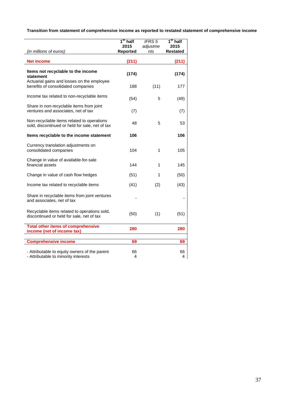**Transition from statement of comprehensive income as reported to restated statement of comprehensive income** 

|                                                                                               | 1 <sup>st</sup> half<br>2015 | IFRS <sub>5</sub><br>adjustme | $1st$ half<br>2015 |
|-----------------------------------------------------------------------------------------------|------------------------------|-------------------------------|--------------------|
| (in millions of euros)                                                                        | Reported                     | nts                           | <b>Restated</b>    |
| <b>Net income</b>                                                                             | (211)                        |                               | (211)              |
| Items not recyclable to the income<br>statement                                               | (174)                        |                               | (174)              |
| Actuarial gains and losses on the employee<br>benefits of consolidated companies              | 188                          | (11)                          | 177                |
| Income tax related to non-recyclable items                                                    | (54)                         | 5                             | (49)               |
| Share in non-recyclable items from joint<br>ventures and associates, net of tax               | (7)                          |                               | (7)                |
| Non-recyclable items related to operations<br>sold, discontinued or held for sale, net of tax | 48                           | 5                             | 53                 |
| Items recyclable to the income statement                                                      | 106                          |                               | 106                |
| Currency translation adjustments on<br>consolidated companies                                 | 104                          | 1                             | 105                |
| Change in value of available-for-sale<br>financial assets                                     | 144                          | 1                             | 145                |
| Change in value of cash flow hedges                                                           | (51)                         | 1                             | (50)               |
| Income tax related to recyclable items                                                        | (41)                         | (2)                           | (43)               |
| Share in recyclable items from joint ventures<br>and associates, net of tax                   |                              |                               |                    |
| Recyclable items related to operations sold,<br>discontinued or held for sale, net of tax     | (50)                         | (1)                           | (51)               |
| <b>Total other items of comprehensive</b><br>income (net of income tax)                       | 280                          |                               | 280                |
| <b>Comprehensive income</b>                                                                   | 69                           |                               | 69                 |
| - Attributable to equity owners of the parent<br>- Attributable to minority interests         | 66<br>4                      |                               | 66<br>4            |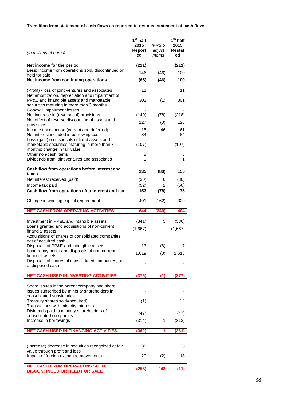# **Transition from statement of cash flows as reported to restated statement of cash flows**

|                                                                                                                      | $\overline{1^{\text{st}}}$ half<br>2015 | IFRS <sub>5</sub> | $1st$ half<br>2015 |
|----------------------------------------------------------------------------------------------------------------------|-----------------------------------------|-------------------|--------------------|
| (in millions of euros)                                                                                               | Report<br>ed                            | adjust<br>ments   | Restat<br>ed       |
| Net income for the period                                                                                            | (211)                                   |                   | (211)              |
| Less: income from operations sold, discontinued or<br>held for sale                                                  | 146                                     | (46)              | 100                |
| Net income from continuing operations                                                                                | (65)                                    | (46)              | 100                |
| (Profit) / loss of joint ventures and associates<br>Net amortization, depreciation and impairment of                 | 11                                      |                   | 11                 |
| PP&E and intangible assets and marketable<br>securities maturing in more than 3 months<br>Goodwill impairment losses | 302                                     | (1)               | 301                |
| Net increase in (reversal of) provisions                                                                             | (140)                                   | (78)              | (218)              |
| Net effect of reverse discounting of assets and<br>provisions                                                        | 127                                     | (0)               | 126                |
| Income tax expense (current and deferred)                                                                            | 15                                      | 46                | 61                 |
| Net interest included in borrowing costs<br>Loss (gain) on disposals of fixed assets and                             | 84                                      |                   | 84                 |
| marketable securities maturing in more than 3                                                                        | (107)                                   |                   | (107)              |
| months; change in fair value<br>Other non-cash items                                                                 | 8                                       |                   | 8                  |
| Dividends from joint ventures and associates                                                                         | 1                                       |                   | 1                  |
| Cash flow from operations before interest and<br>taxes                                                               | 235                                     | (80)              | 155                |
| Net interest received (paid)                                                                                         | (30)                                    | 0                 | (30)               |
| Income tax paid<br>Cash flow from operations after interest and tax                                                  | (52)<br>153                             | 2<br>(78)         | (50)<br>75         |
|                                                                                                                      |                                         |                   |                    |
| Change in working capital requirement                                                                                | 491                                     | (162)             | 329                |
|                                                                                                                      |                                         |                   |                    |
| <b>NET CASH FROM OPERATING ACTIVITIES</b>                                                                            | 644                                     | (240)             | 404                |
| Investment in PP&E and intangible assets                                                                             | (341)                                   | 5                 | (336)              |
| Loans granted and acquisitions of non-current<br>financial assets                                                    | (1,667)                                 |                   | (1,667)            |
| Acquisitions of shares of consolidated companies,                                                                    |                                         |                   |                    |
| net of acquired cash<br>Disposals of PP&E and intangible assets                                                      | 13                                      | (6)               | 7                  |
| Loan repayments and disposals of non-current                                                                         | 1,619                                   | (0)               | 1,618              |
| financial assets<br>Disposals of shares of consolidated companies, net                                               |                                         |                   |                    |
| of disposed cash                                                                                                     |                                         |                   |                    |
| <b>NET CASH USED IN INVESTING ACTIVITIES</b>                                                                         | (376)                                   | (1)               | (377)              |
| Share issues in the parent company and share<br>issues subscribed by minority shareholders in                        |                                         |                   |                    |
| consolidated subsidiaries<br>Treasury shares sold/(acquired)                                                         | (1)                                     |                   | (1)                |
| Transactions with minority interests<br>Dividends paid to minority shareholders of                                   |                                         |                   |                    |
| consolidated companies                                                                                               | (47)                                    | 1                 | (47)               |
| Increase in borrowings                                                                                               | (314)                                   |                   | (313)              |
| <b>NET CASH USED IN FINANCING ACTIVITIES</b>                                                                         | (362)                                   | 1                 | (361)              |
| (Increase) decrease in securities recognized at fair                                                                 | 35                                      |                   | 35                 |
| value through profit and loss<br>Impact of foreign exchange movements                                                | 20                                      | (2)               | 18                 |